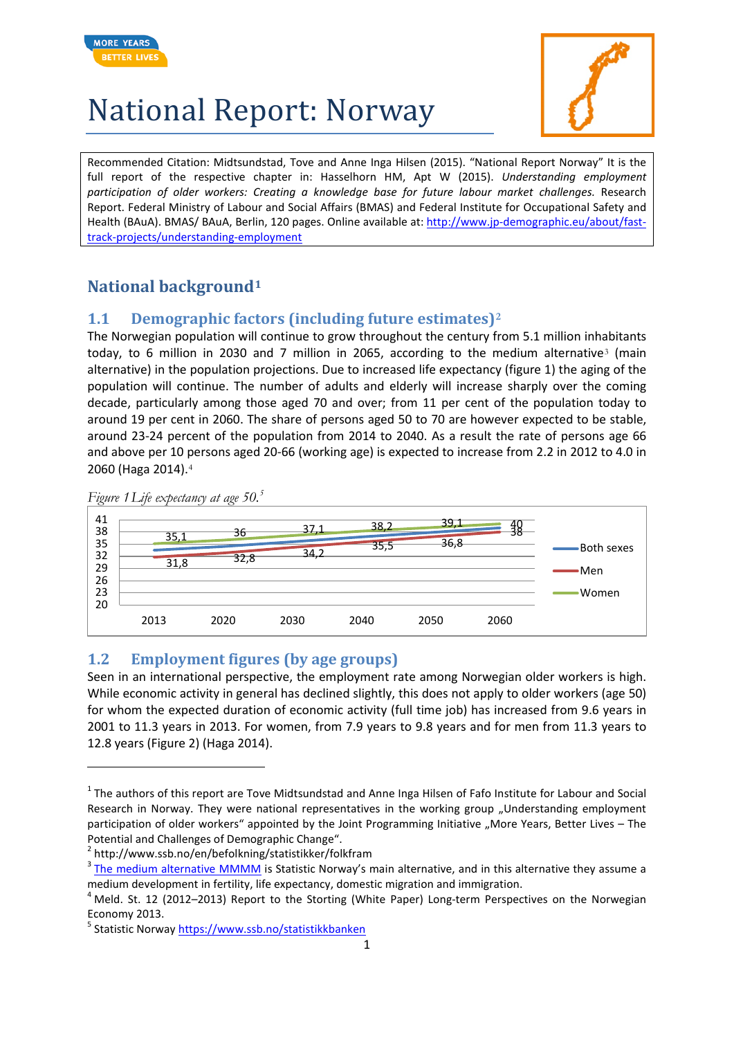



Recommended Citation: Midtsundstad, Tove and Anne Inga Hilsen (2015). "National Report Norway" It is the full report of the respective chapter in: Hasselhorn HM, Apt W (2015). *Understanding employment participation of older workers: Creating a knowledge base for future labour market challenges.* Research Report. Federal Ministry of Labour and Social Affairs (BMAS) and Federal Institute for Occupational Safety and Health (BAuA). BMAS/ BAuA, Berlin, 120 pages. Online available at: [http://www.jp-demographic.eu/about/fast](http://www.jp-demographic.eu/about/fast-track-projects/understanding-employment)[track-projects/understanding-employment](http://www.jp-demographic.eu/about/fast-track-projects/understanding-employment)

#### **National background[1](#page-0-0)**

#### **1.1 Demographic factors (including future estimates)[2](#page-0-1)**

The Norwegian population will continue to grow throughout the century from 5.1 million inhabitants today, to 6 million in 20[3](#page-0-2)0 and 7 million in 2065, according to the medium alternative<sup>3</sup> (main alternative) in the population projections. Due to increased life expectancy (figure 1) the aging of the population will continue. The number of adults and elderly will increase sharply over the coming decade, particularly among those aged 70 and over; from 11 per cent of the population today to around 19 per cent in 2060. The share of persons aged 50 to 70 are however expected to be stable, around 23-24 percent of the population from 2014 to 2040. As a result the rate of persons age 66 and above per 10 persons aged 20-66 (working age) is expected to increase from 2.2 in 2012 to 4.0 in 2060 (Haga 2014).[4](#page-0-3)



*Figure 1Life expectancy at age 50.[5](#page-0-4)*

 $\overline{a}$ 

#### **1.2 Employment figures (by age groups)**

Seen in an international perspective, the employment rate among Norwegian older workers is high. While economic activity in general has declined slightly, this does not apply to older workers (age 50) for whom the expected duration of economic activity (full time job) has increased from 9.6 years in 2001 to 11.3 years in 2013. For women, from 7.9 years to 9.8 years and for men from 11.3 years to 12.8 years (Figure 2) (Haga 2014).

<span id="page-0-1"></span><sup>2</sup> http://www.ssb.no/en/befolkning/statistikker/folkfram

<span id="page-0-0"></span> $1$  The authors of this report are Tove Midtsundstad and Anne Inga Hilsen of Fafo Institute for Labour and Social Research in Norway. They were national representatives in the working group "Understanding employment participation of older workers" appointed by the Joint Programming Initiative "More Years, Better Lives – The Potential and Challenges of Demographic Change".

<span id="page-0-2"></span> $3$  [The medium alternative MMMM](http://www.ssb.no/ajax/ordforklaring?key=183141&sprak=en) is Statistic Norway's main alternative, and in this alternative they assume a medium development in fertility, life expectancy, domestic migration and immigration.

<span id="page-0-3"></span> $4$  Meld. St. 12 (2012–2013) Report to the Storting (White Paper) Long-term Perspectives on the Norwegian Economy 2013.

<span id="page-0-4"></span><sup>&</sup>lt;sup>5</sup> Statistic Norway https://www.ssb.no/statistikkbanken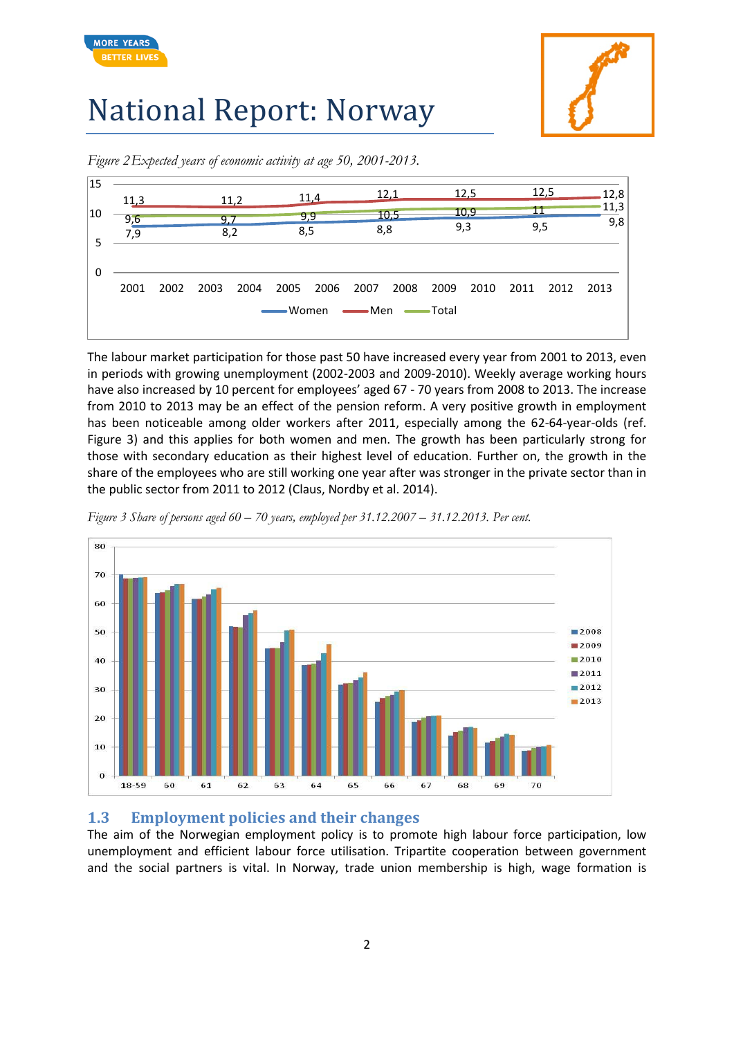

**MORE YEARS BETTER LIV** 





*Figure 2Expected years of economic activity at age 50, 2001-2013.* 

The labour market participation for those past 50 have increased every year from 2001 to 2013, even in periods with growing unemployment (2002-2003 and 2009-2010). Weekly average working hours have also increased by 10 percent for employees' aged 67 - 70 years from 2008 to 2013. The increase from 2010 to 2013 may be an effect of the pension reform. A very positive growth in employment has been noticeable among older workers after 2011, especially among the 62-64-year-olds (ref. Figure 3) and this applies for both women and men. The growth has been particularly strong for those with secondary education as their highest level of education. Further on, the growth in the share of the employees who are still working one year after was stronger in the private sector than in the public sector from 2011 to 2012 (Claus, Nordby et al. 2014).

*Figure 3 Share of persons aged 60 – 70 years, employed per 31.12.2007 – 31.12.2013. Per cent.*



#### **1.3 Employment policies and their changes**

The aim of the Norwegian employment policy is to promote high labour force participation, low unemployment and efficient labour force utilisation. Tripartite cooperation between government and the social partners is vital. In Norway, trade union membership is high, wage formation is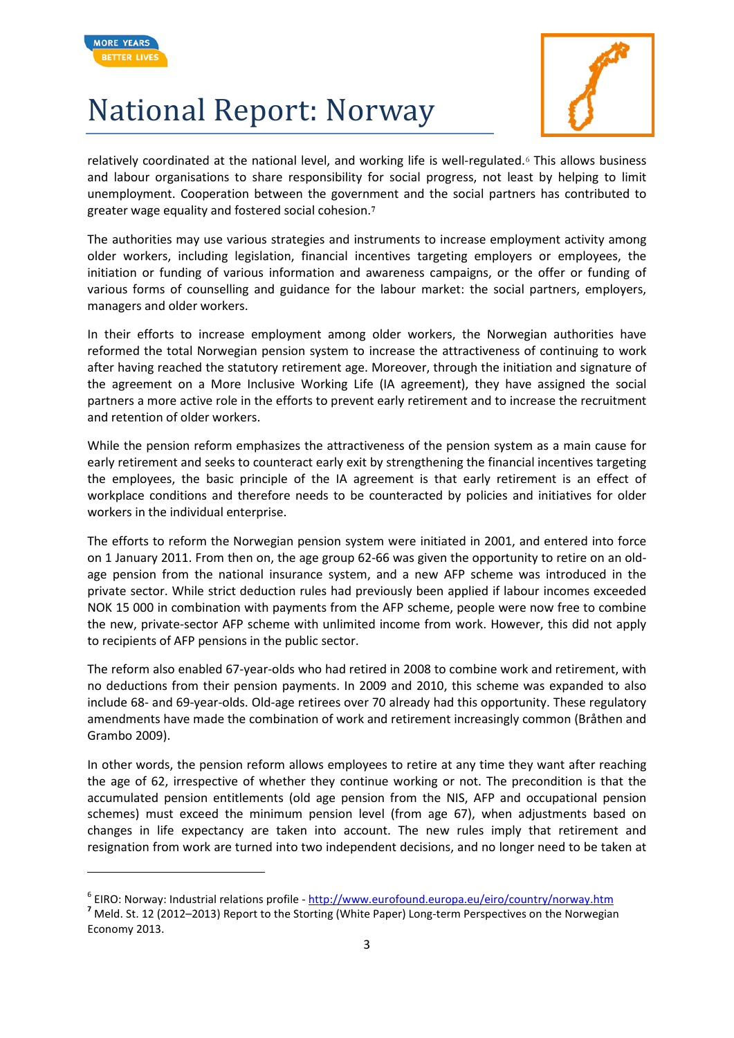

 $\overline{a}$ 

# National Report: Norway



relatively coordinated at the national level, and working life is well-regulated.[6](#page-2-0) This allows business and labour organisations to share responsibility for social progress, not least by helping to limit unemployment. Cooperation between the government and the social partners has contributed to greater wage equality and fostered social cohesion.**[7](#page-2-1)**

The authorities may use various strategies and instruments to increase employment activity among older workers, including legislation, financial incentives targeting employers or employees, the initiation or funding of various information and awareness campaigns, or the offer or funding of various forms of counselling and guidance for the labour market: the social partners, employers, managers and older workers.

In their efforts to increase employment among older workers, the Norwegian authorities have reformed the total Norwegian pension system to increase the attractiveness of continuing to work after having reached the statutory retirement age. Moreover, through the initiation and signature of the agreement on a More Inclusive Working Life (IA agreement), they have assigned the social partners a more active role in the efforts to prevent early retirement and to increase the recruitment and retention of older workers.

While the pension reform emphasizes the attractiveness of the pension system as a main cause for early retirement and seeks to counteract early exit by strengthening the financial incentives targeting the employees, the basic principle of the IA agreement is that early retirement is an effect of workplace conditions and therefore needs to be counteracted by policies and initiatives for older workers in the individual enterprise.

The efforts to reform the Norwegian pension system were initiated in 2001, and entered into force on 1 January 2011. From then on, the age group 62-66 was given the opportunity to retire on an oldage pension from the national insurance system, and a new AFP scheme was introduced in the private sector. While strict deduction rules had previously been applied if labour incomes exceeded NOK 15 000 in combination with payments from the AFP scheme, people were now free to combine the new, private-sector AFP scheme with unlimited income from work. However, this did not apply to recipients of AFP pensions in the public sector.

The reform also enabled 67-year-olds who had retired in 2008 to combine work and retirement, with no deductions from their pension payments. In 2009 and 2010, this scheme was expanded to also include 68- and 69-year-olds. Old-age retirees over 70 already had this opportunity. These regulatory amendments have made the combination of work and retirement increasingly common (Bråthen and Grambo 2009).

In other words, the pension reform allows employees to retire at any time they want after reaching the age of 62, irrespective of whether they continue working or not. The precondition is that the accumulated pension entitlements (old age pension from the NIS, AFP and occupational pension schemes) must exceed the minimum pension level (from age 67), when adjustments based on changes in life expectancy are taken into account. The new rules imply that retirement and resignation from work are turned into two independent decisions, and no longer need to be taken at

<span id="page-2-0"></span><sup>&</sup>lt;sup>6</sup> EIRO: Norway: Industrial relations profile - <http://www.eurofound.europa.eu/eiro/country/norway.htm> <sup>7</sup><br><sup>7</sup> Meld. St. 12 (2012–2013) Report to the Storting (White Paper) Long-term Perspectives on the Norwegian

<span id="page-2-1"></span>Economy 2013.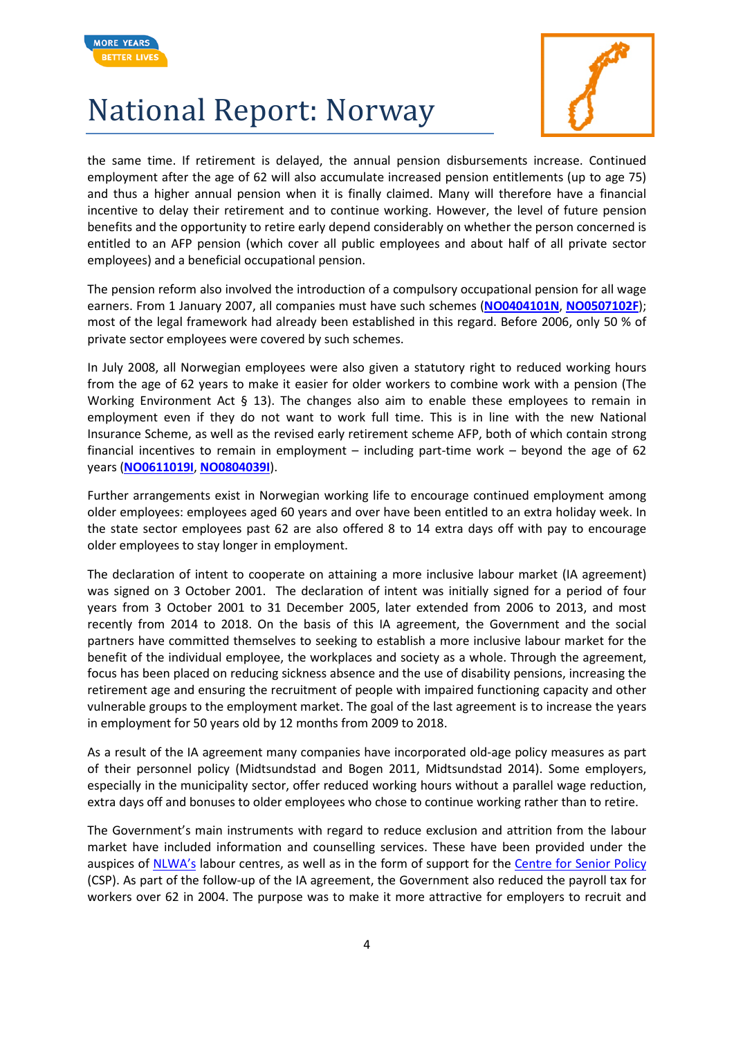



the same time. If retirement is delayed, the annual pension disbursements increase. Continued employment after the age of 62 will also accumulate increased pension entitlements (up to age 75) and thus a higher annual pension when it is finally claimed. Many will therefore have a financial incentive to delay their retirement and to continue working. However, the level of future pension benefits and the opportunity to retire early depend considerably on whether the person concerned is entitled to an AFP pension (which cover all public employees and about half of all private sector employees) and a beneficial occupational pension.

The pension reform also involved the introduction of a compulsory occupational pension for all wage earners. From 1 January 2007, all companies must have such schemes (**[NO0404101N](http://www.eurofound.europa.eu/eiro/2004/04/inbrief/no0404101n.htm)**, **[NO0507102F](http://www.eurofound.europa.eu/eiro/2005/07/feature/no0507102f.htm)**); most of the legal framework had already been established in this regard. Before 2006, only 50 % of private sector employees were covered by such schemes.

In July 2008, all Norwegian employees were also given a statutory right to reduced working hours from the age of 62 years to make it easier for older workers to combine work with a pension (The Working Environment Act § 13). The changes also aim to enable these employees to remain in employment even if they do not want to work full time. This is in line with the new National Insurance Scheme, as well as the revised early retirement scheme AFP, both of which contain strong financial incentives to remain in employment – including part-time work – beyond the age of 62 years (**[NO0611019I](http://www.eurofound.europa.eu/eiro/2006/11/articles/no0611019i.htm)**, **[NO0804039I](http://www.eurofound.europa.eu/eiro/2008/04/articles/no0804039i.htm)**).

Further arrangements exist in Norwegian working life to encourage continued employment among older employees: employees aged 60 years and over have been entitled to an extra holiday week. In the state sector employees past 62 are also offered 8 to 14 extra days off with pay to encourage older employees to stay longer in employment.

The declaration of intent to cooperate on attaining a more inclusive labour market (IA agreement) was signed on 3 October 2001. The declaration of intent was initially signed for a period of four years from 3 October 2001 to 31 December 2005, later extended from 2006 to 2013, and most recently from 2014 to 2018. On the basis of this IA agreement, the Government and the social partners have committed themselves to seeking to establish a more inclusive labour market for the benefit of the individual employee, the workplaces and society as a whole. Through the agreement, focus has been placed on reducing sickness absence and the use of disability pensions, increasing the retirement age and ensuring the recruitment of people with impaired functioning capacity and other vulnerable groups to the employment market. The goal of the last agreement is to increase the years in employment for 50 years old by 12 months from 2009 to 2018.

As a result of the IA agreement many companies have incorporated old-age policy measures as part of their personnel policy (Midtsundstad and Bogen 2011, Midtsundstad 2014). Some employers, especially in the municipality sector, offer reduced working hours without a parallel wage reduction, extra days off and bonuses to older employees who chose to continue working rather than to retire.

The Government's main instruments with regard to reduce exclusion and attrition from the labour market have included information and counselling services. These have been provided under the auspices of [NLWA's](https://www.nav.no/en/Home) labour centres, as well as in the form of support for the [Centre for Senior Policy](http://seniorpolitikk.no/informasjon/english) (CSP). As part of the follow-up of the IA agreement, the Government also reduced the payroll tax for workers over 62 in 2004. The purpose was to make it more attractive for employers to recruit and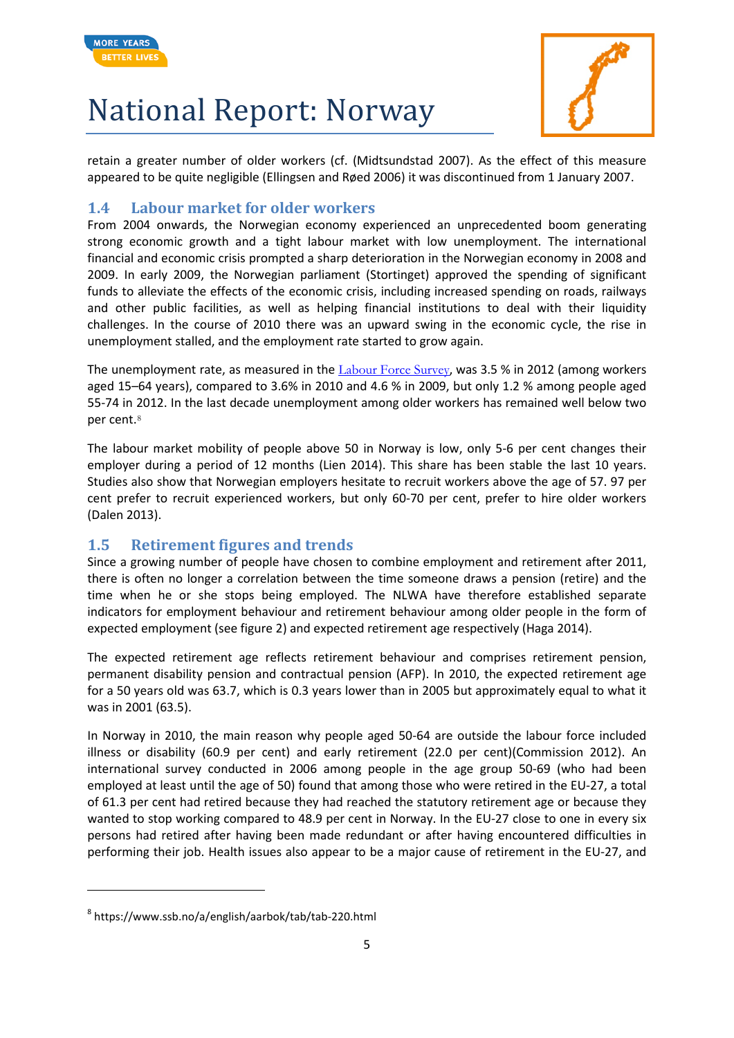



retain a greater number of older workers (cf. (Midtsundstad 2007). As the effect of this measure appeared to be quite negligible (Ellingsen and Røed 2006) it was discontinued from 1 January 2007.

#### **1.4 Labour market for older workers**

From 2004 onwards, the Norwegian economy experienced an unprecedented boom generating strong economic growth and a tight labour market with low unemployment. The international financial and economic crisis prompted a sharp deterioration in the Norwegian economy in 2008 and 2009. In early 2009, the Norwegian parliament (Stortinget) approved the spending of significant funds to alleviate the effects of the economic crisis, including increased spending on roads, railways and other public facilities, as well as helping financial institutions to deal with their liquidity challenges. In the course of 2010 there was an upward swing in the economic cycle, the rise in unemployment stalled, and the employment rate started to grow again.

The unemployment rate, as measured in the [Labour Force Survey](http://www.ssb.no/en/arbeid-og-lonn/statistikker/aku/kvartal/2014-04-30?fane=om%23content), was 3.5 % in 2012 (among workers aged 15–64 years), compared to 3.6% in 2010 and 4.6 % in 2009, but only 1.2 % among people aged 55-74 in 2012. In the last decade unemployment among older workers has remained well below two per cent.[8](#page-4-0)

The labour market mobility of people above 50 in Norway is low, only 5-6 per cent changes their employer during a period of 12 months (Lien 2014). This share has been stable the last 10 years. Studies also show that Norwegian employers hesitate to recruit workers above the age of 57. 97 per cent prefer to recruit experienced workers, but only 60-70 per cent, prefer to hire older workers (Dalen 2013).

#### **1.5 Retirement figures and trends**

Since a growing number of people have chosen to combine employment and retirement after 2011, there is often no longer a correlation between the time someone draws a pension (retire) and the time when he or she stops being employed. The NLWA have therefore established separate indicators for employment behaviour and retirement behaviour among older people in the form of expected employment (see figure 2) and expected retirement age respectively (Haga 2014).

The expected retirement age reflects retirement behaviour and comprises retirement pension, permanent disability pension and contractual pension (AFP). In 2010, the expected retirement age for a 50 years old was 63.7, which is 0.3 years lower than in 2005 but approximately equal to what it was in 2001 (63.5).

In Norway in 2010, the main reason why people aged 50-64 are outside the labour force included illness or disability (60.9 per cent) and early retirement (22.0 per cent)(Commission 2012). An international survey conducted in 2006 among people in the age group 50-69 (who had been employed at least until the age of 50) found that among those who were retired in the EU-27, a total of 61.3 per cent had retired because they had reached the statutory retirement age or because they wanted to stop working compared to 48.9 per cent in Norway. In the EU-27 close to one in every six persons had retired after having been made redundant or after having encountered difficulties in performing their job. Health issues also appear to be a major cause of retirement in the EU-27, and

**.** 

<span id="page-4-0"></span><sup>8</sup> https://www.ssb.no/a/english/aarbok/tab/tab-220.html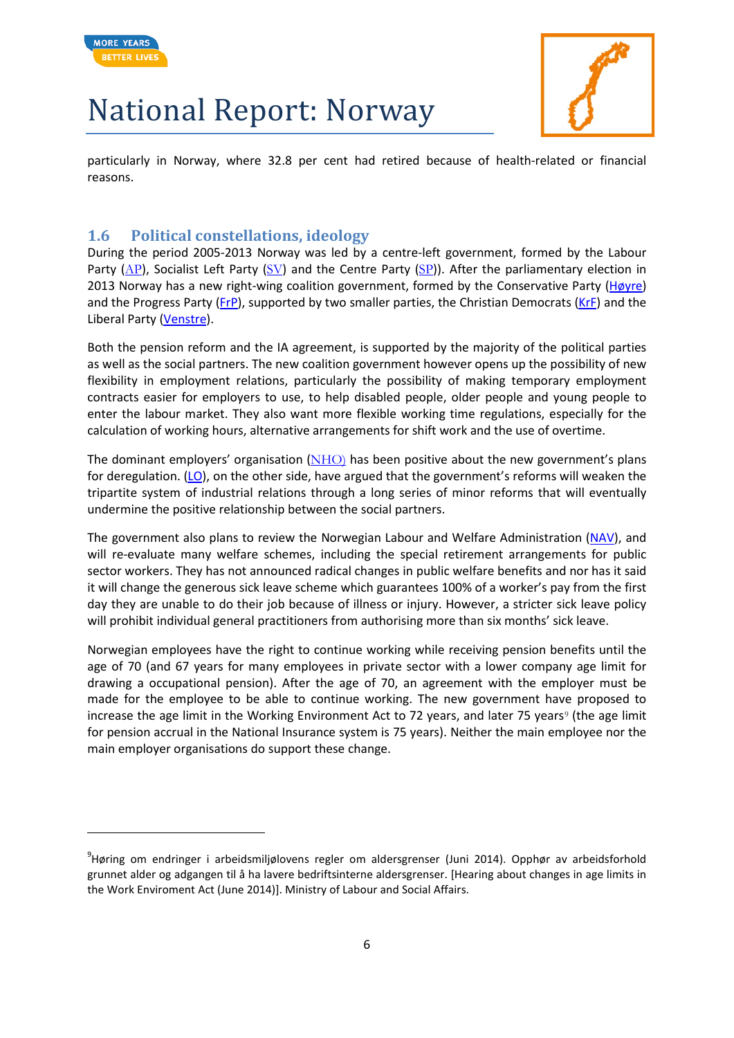

**.** 

# National Report: Norway



particularly in Norway, where 32.8 per cent had retired because of health-related or financial reasons.

#### **1.6 Political constellations, ideology**

During the period 2005-2013 Norway was led by a centre-left government, formed by the Labour Party ( $AP$ ), Socialist Left Party ( $SV$ ) and the Centre Party ( $SP$ )). After the parliamentary election in 2013 Norway has a new right-wing coalition government, formed by the Conservative Party [\(Høyre\)](http://www.hoyre.no/www/om_hoyre/english_information/) and the Progress Party [\(FrP\)](http://www.frp.no/nor/The-Progress-Party), supported by two smaller parties, the Christian Democrats [\(KrF\)](http://www.krf.no/ikbViewer/page/krf/politikk/english) and the Liberal Party [\(Venstre\)](http://www.venstre.no/sentralt/artikkel/981/).

Both the pension reform and the IA agreement, is supported by the majority of the political parties as well as the social partners. The new coalition government however opens up the possibility of new flexibility in employment relations, particularly the possibility of making temporary employment contracts easier for employers to use, to help disabled people, older people and young people to enter the labour market. They also want more flexible working time regulations, especially for the calculation of working hours, alternative arrangements for shift work and the use of overtime.

The dominant employers' organisation  $(NHO)$  $(NHO)$  has been positive about the new government's plans for deregulation.  $(LO)$ , on the other side, have argued that the government's reforms will weaken the tripartite system of industrial relations through a long series of minor reforms that will eventually undermine the positive relationship between the social partners.

The government also plans to review the Norwegian Labour and Welfare Administration [\(NAV\)](https://www.nav.no/english), and will re-evaluate many welfare schemes, including the special retirement arrangements for public sector workers. They has not announced radical changes in public welfare benefits and nor has it said it will change the generous sick leave scheme which guarantees 100% of a worker's pay from the first day they are unable to do their job because of illness or injury. However, a stricter sick leave policy will prohibit individual general practitioners from authorising more than six months' sick leave.

Norwegian employees have the right to continue working while receiving pension benefits until the age of 70 (and 67 years for many employees in private sector with a lower company age limit for drawing a occupational pension). After the age of 70, an agreement with the employer must be made for the employee to be able to continue working. The new government have proposed to increase the age limit in the Working Environment Act to 72 years, and later 75 years<sup>[9](#page-5-0)</sup> (the age limit for pension accrual in the National Insurance system is 75 years). Neither the main employee nor the main employer organisations do support these change.

<span id="page-5-0"></span><sup>9</sup> Høring om endringer i arbeidsmiljølovens regler om aldersgrenser (Juni 2014). Opphør av arbeidsforhold grunnet alder og adgangen til å ha lavere bedriftsinterne aldersgrenser. [Hearing about changes in age limits in the Work Enviroment Act (June 2014)]. Ministry of Labour and Social Affairs.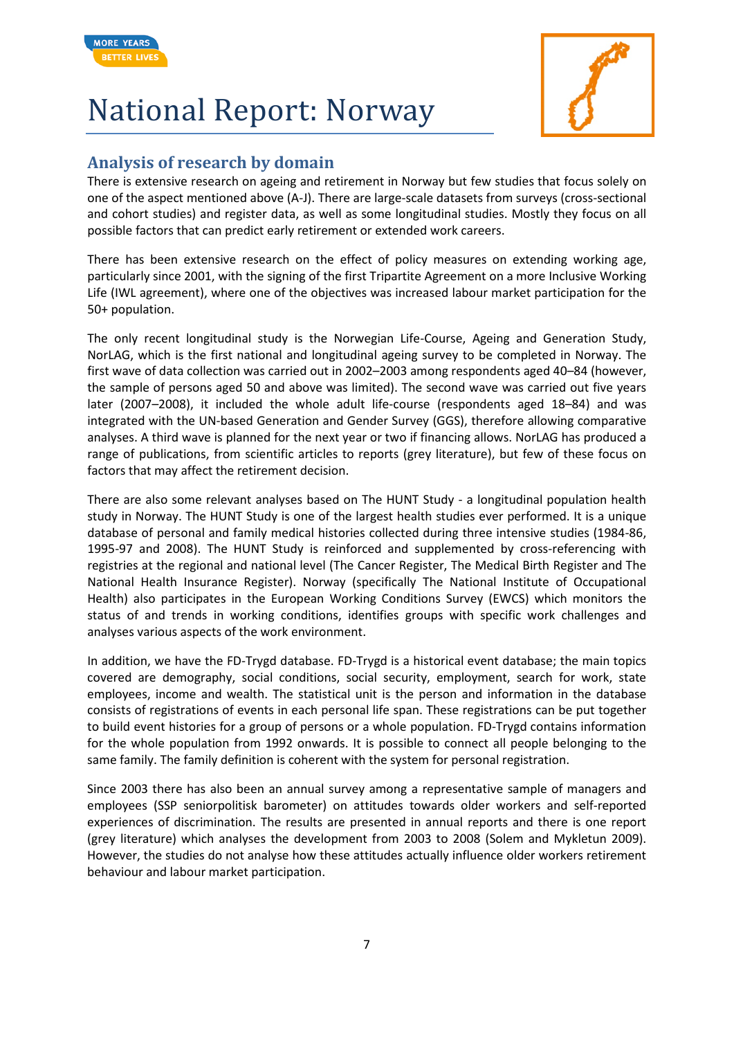



#### **Analysis of research by domain**

There is extensive research on ageing and retirement in Norway but few studies that focus solely on one of the aspect mentioned above (A-J). There are large-scale datasets from surveys (cross-sectional and cohort studies) and register data, as well as some longitudinal studies. Mostly they focus on all possible factors that can predict early retirement or extended work careers.

There has been extensive research on the effect of policy measures on extending working age, particularly since 2001, with the signing of the first Tripartite Agreement on a more Inclusive Working Life (IWL agreement), where one of the objectives was increased labour market participation for the 50+ population.

The only recent longitudinal study is the Norwegian Life-Course, Ageing and Generation Study, NorLAG, which is the first national and longitudinal ageing survey to be completed in Norway. The first wave of data collection was carried out in 2002–2003 among respondents aged 40–84 (however, the sample of persons aged 50 and above was limited). The second wave was carried out five years later (2007–2008), it included the whole adult life-course (respondents aged 18–84) and was integrated with the UN-based Generation and Gender Survey (GGS), therefore allowing comparative analyses. A third wave is planned for the next year or two if financing allows. NorLAG has produced a range of publications, from scientific articles to reports (grey literature), but few of these focus on factors that may affect the retirement decision.

There are also some relevant analyses based on The HUNT Study - a longitudinal population health study in Norway. The HUNT Study is one of the largest health studies ever performed. It is a unique database of personal and family medical histories collected during three intensive studies (1984-86, 1995-97 and 2008). The HUNT Study is reinforced and supplemented by cross-referencing with registries at the regional and national level (The Cancer Register, The Medical Birth Register and The National Health Insurance Register). Norway (specifically [The National Institute of Occupational](http://www.stami.no/arbeidsmiljoet-i-norge-og-eu-en-sammenligning?lcid=1033)  [Health\)](http://www.stami.no/arbeidsmiljoet-i-norge-og-eu-en-sammenligning?lcid=1033) also participates in the European Working Conditions Survey (EWCS) which monitors the status of and trends in working conditions, identifies groups with specific work challenges and analyses various aspects of the work environment.

In addition, we have the [FD-Trygd](http://www.ssb.no/a/english/mikrodata_en/datasamling/fdtrygd_en.html) database. FD-Trygd is a historical event database; the main topics covered are demography, social conditions, social security, employment, search for work, state employees, income and wealth. The statistical unit is the person and information in the database consists of registrations of events in each personal life span. These registrations can be put together to build event histories for a group of persons or a whole population. FD-Trygd contains information for the whole population from 1992 onwards. It is possible to connect all people belonging to the same family. The family definition is coherent with the system for personal registration.

Since 2003 there has also been an annual survey among a representative sample of managers and employees (SSP seniorpolitisk barometer) on attitudes towards older workers and self-reported experiences of discrimination. The results are presented in annual reports and there is one report (grey literature) which analyses the development from 2003 to 2008 (Solem and Mykletun 2009). However, the studies do not analyse how these attitudes actually influence older workers retirement behaviour and labour market participation.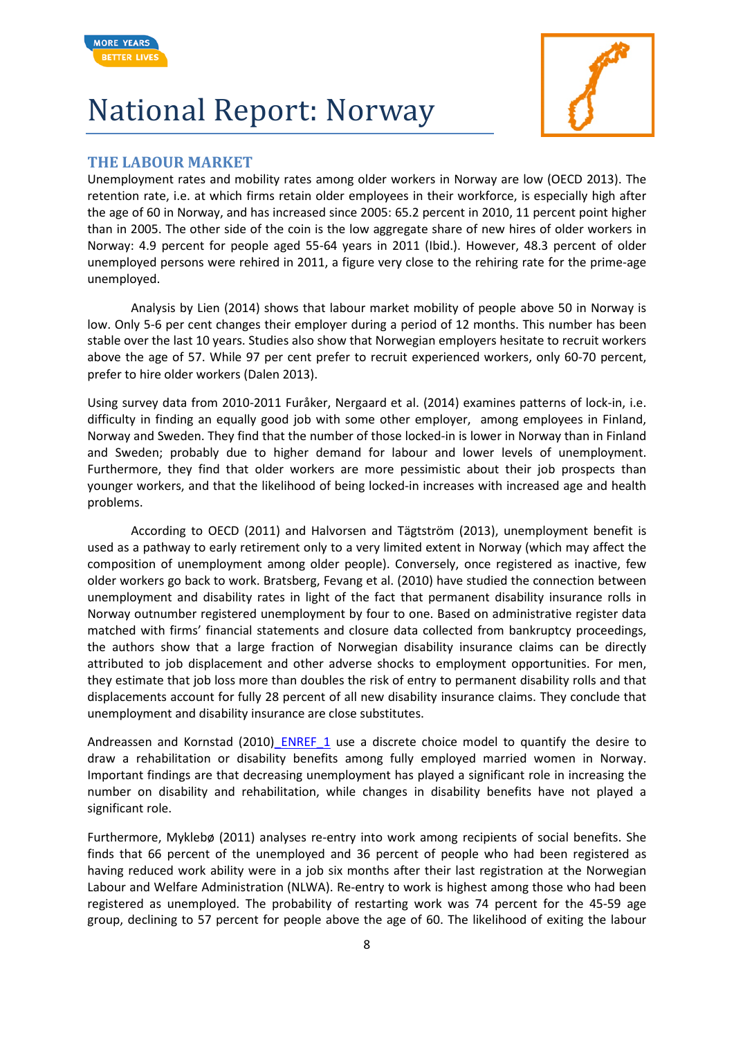



#### **THE LABOUR MARKET**

Unemployment rates and mobility rates among older workers in Norway are low (OECD 2013). The retention rate, i.e. at which firms retain older employees in their workforce, is especially high after the age of 60 in Norway, and has increased since 2005: 65.2 percent in 2010, 11 percent point higher than in 2005. The other side of the coin is the low aggregate share of new hires of older workers in Norway: 4.9 percent for people aged 55-64 years in 2011 (Ibid.). However, 48.3 percent of older unemployed persons were rehired in 2011, a figure very close to the rehiring rate for the prime-age unemployed.

Analysis by Lien (2014) shows that labour market mobility of people above 50 in Norway is low. Only 5-6 per cent changes their employer during a period of 12 months. This number has been stable over the last 10 years. Studies also show that Norwegian employers hesitate to recruit workers above the age of 57. While 97 per cent prefer to recruit experienced workers, only 60-70 percent, prefer to hire older workers (Dalen 2013).

Using survey data from 2010-2011 Furåker, Nergaard et al. (2014) examines patterns of lock-in, i.e. difficulty in finding an equally good job with some other employer, among employees in Finland, Norway and Sweden. They find that the number of those locked-in is lower in Norway than in Finland and Sweden; probably due to higher demand for labour and lower levels of unemployment. Furthermore, they find that older workers are more pessimistic about their job prospects than younger workers, and that the likelihood of being locked-in increases with increased age and health problems.

According to OECD (2011) and Halvorsen and Tägtström (2013), unemployment benefit is used as a pathway to early retirement only to a very limited extent in Norway (which may affect the composition of unemployment among older people). Conversely, once registered as inactive, few older workers go back to work. Bratsberg, Fevang et al. (2010) have studied the connection between unemployment and disability rates in light of the fact that permanent disability insurance rolls in Norway outnumber registered unemployment by four to one. Based on administrative register data matched with firms' financial statements and closure data collected from bankruptcy proceedings, the authors show that a large fraction of Norwegian disability insurance claims can be directly attributed to job displacement and other adverse shocks to employment opportunities. For men, they estimate that job loss more than doubles the risk of entry to permanent disability rolls and that displacements account for fully 28 percent of all new disability insurance claims. They conclude that unemployment and disability insurance are close substitutes.

Andreassen and Kornstad (2010) ENREF\_1 use a discrete choice model to quantify the desire to draw a rehabilitation or disability benefits among fully employed married women in Norway. Important findings are that decreasing unemployment has played a significant role in increasing the number on disability and rehabilitation, while changes in disability benefits have not played a significant role.

Furthermore, Myklebø (2011) analyses re-entry into work among recipients of social benefits. She finds that 66 percent of the unemployed and 36 percent of people who had been registered as having reduced work ability were in a job six months after their last registration at the Norwegian Labour and Welfare Administration (NLWA). Re-entry to work is highest among those who had been registered as unemployed. The probability of restarting work was 74 percent for the 45-59 age group, declining to 57 percent for people above the age of 60. The likelihood of exiting the labour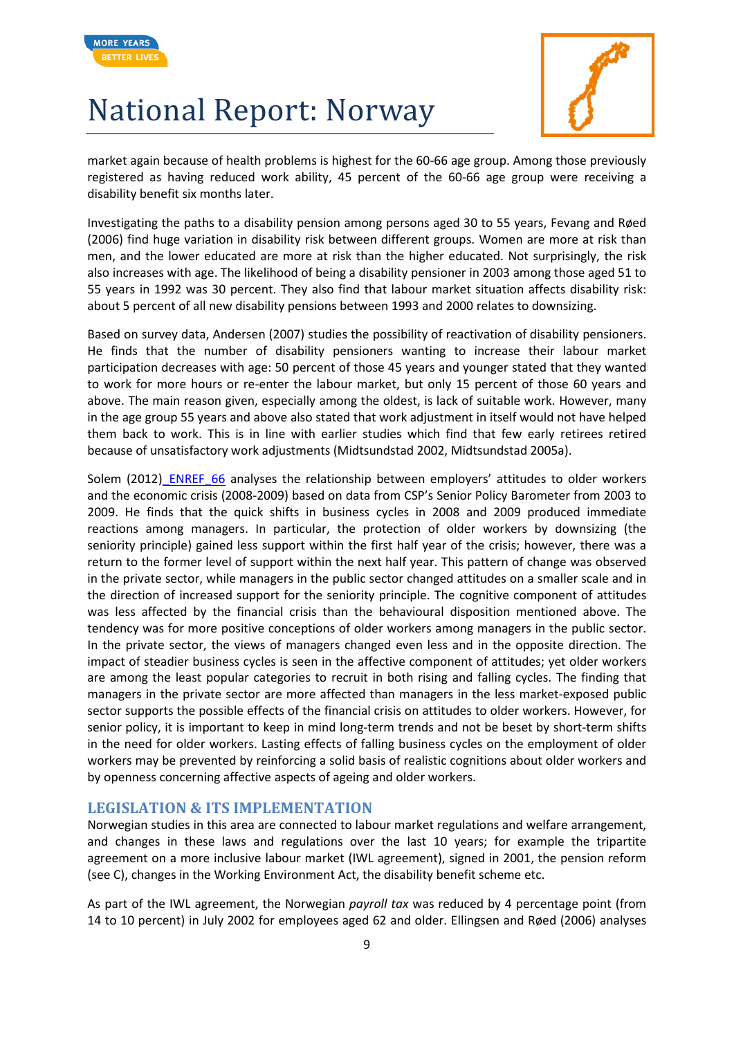



market again because of health problems is highest for the 60-66 age group. Among those previously registered as having reduced work ability, 45 percent of the 60-66 age group were receiving a disability benefit six months later.

Investigating the paths to a disability pension among persons aged 30 to 55 years, Fevang and Røed (2006) find huge variation in disability risk between different groups. Women are more at risk than men, and the lower educated are more at risk than the higher educated. Not surprisingly, the risk also increases with age. The likelihood of being a disability pensioner in 2003 among those aged 51 to 55 years in 1992 was 30 percent. They also find that labour market situation affects disability risk: about 5 percent of all new disability pensions between 1993 and 2000 relates to downsizing.

Based on survey data, Andersen (2007) studies the possibility of reactivation of disability pensioners. He finds that the number of disability pensioners wanting to increase their labour market participation decreases with age: 50 percent of those 45 years and younger stated that they wanted to work for more hours or re-enter the labour market, but only 15 percent of those 60 years and above. The main reason given, especially among the oldest, is lack of suitable work. However, many in the age group 55 years and above also stated that work adjustment in itself would not have helped them back to work. This is in line with earlier studies which find that few early retirees retired because of unsatisfactory work adjustments (Midtsundstad 2002, Midtsundstad 2005a).

Solem (2012) ENREF 66 analyses the relationship between employers' attitudes to older workers and the economic crisis (2008-2009) based on data from CSP's Senior Policy Barometer from 2003 to 2009. He finds that the quick shifts in business cycles in 2008 and 2009 produced immediate reactions among managers. In particular, the protection of older workers by downsizing (the seniority principle) gained less support within the first half year of the crisis; however, there was a return to the former level of support within the next half year. This pattern of change was observed in the private sector, while managers in the public sector changed attitudes on a smaller scale and in the direction of increased support for the seniority principle. The cognitive component of attitudes was less affected by the financial crisis than the behavioural disposition mentioned above. The tendency was for more positive conceptions of older workers among managers in the public sector. In the private sector, the views of managers changed even less and in the opposite direction. The impact of steadier business cycles is seen in the affective component of attitudes; yet older workers are among the least popular categories to recruit in both rising and falling cycles. The finding that managers in the private sector are more affected than managers in the less market-exposed public sector supports the possible effects of the financial crisis on attitudes to older workers. However, for senior policy, it is important to keep in mind long-term trends and not be beset by short-term shifts in the need for older workers. Lasting effects of falling business cycles on the employment of older workers may be prevented by reinforcing a solid basis of realistic cognitions about older workers and by openness concerning affective aspects of ageing and older workers.

#### **LEGISLATION & ITS IMPLEMENTATION**

Norwegian studies in this area are connected to labour market regulations and welfare arrangement, and changes in these laws and regulations over the last 10 years; for example the tripartite agreement on a more inclusive labour market (IWL agreement), signed in 2001, the pension reform (see C), changes in the Working Environment Act, the disability benefit scheme etc.

As part of the IWL agreement, the Norwegian *payroll tax* was reduced by 4 percentage point (from 14 to 10 percent) in July 2002 for employees aged 62 and older. Ellingsen and Røed (2006) analyses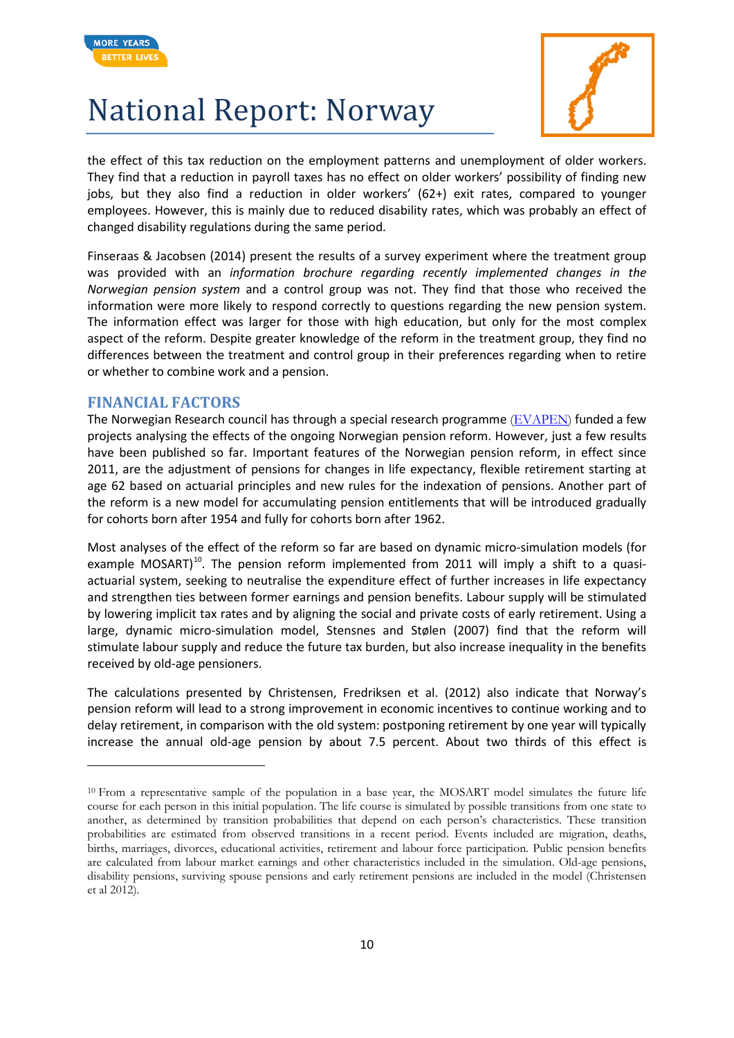



the effect of this tax reduction on the employment patterns and unemployment of older workers. They find that a reduction in payroll taxes has no effect on older workers' possibility of finding new jobs, but they also find a reduction in older workers' (62+) exit rates, compared to younger employees. However, this is mainly due to reduced disability rates, which was probably an effect of changed disability regulations during the same period.

Finseraas & Jacobsen (2014) present the results of a survey experiment where the treatment group was provided with an *information brochure regarding recently implemented changes in the Norwegian pension system* and a control group was not. They find that those who received the information were more likely to respond correctly to questions regarding the new pension system. The information effect was larger for those with high education, but only for the most complex aspect of the reform. Despite greater knowledge of the reform in the treatment group, they find no differences between the treatment and control group in their preferences regarding when to retire or whether to combine work and a pension.

#### **FINANCIAL FACTORS**

**.** 

The Norwegian Research council has through a special research programme [\(EVAPEN\)](http://www.forskningsradet.no/prognett-evapen/Nyheter/Resultatet_av_soknadsbehandlingen_12_mai_2014_er_klar/1253996203452/p1253961246216) funded a few projects analysing the effects of the ongoing Norwegian pension reform. However, just a few results have been published so far. Important features of the Norwegian pension reform, in effect since 2011, are the adjustment of pensions for changes in life expectancy, flexible retirement starting at age 62 based on actuarial principles and new rules for the indexation of pensions. Another part of the reform is a new model for accumulating pension entitlements that will be introduced gradually for cohorts born after 1954 and fully for cohorts born after 1962.

Most analyses of the effect of the reform so far are based on dynamic micro-simulation models (for example MOSART)<sup>10</sup>. The pension reform implemented from 2011 will imply a shift to a quasiactuarial system, seeking to neutralise the expenditure effect of further increases in life expectancy and strengthen ties between former earnings and pension benefits. Labour supply will be stimulated by lowering implicit tax rates and by aligning the social and private costs of early retirement. Using a large, dynamic micro-simulation model, Stensnes and Stølen (2007) find that the reform will stimulate labour supply and reduce the future tax burden, but also increase inequality in the benefits received by old-age pensioners.

The calculations presented by Christensen, Fredriksen et al. (2012) also indicate that Norway's pension reform will lead to a strong improvement in economic incentives to continue working and to delay retirement, in comparison with the old system: postponing retirement by one year will typically increase the annual old-age pension by about 7.5 percent. About two thirds of this effect is

<span id="page-9-0"></span><sup>10</sup> From a representative sample of the population in a base year, the MOSART model simulates the future life course for each person in this initial population. The life course is simulated by possible transitions from one state to another, as determined by transition probabilities that depend on each person's characteristics. These transition probabilities are estimated from observed transitions in a recent period. Events included are migration, deaths, births, marriages, divorces, educational activities, retirement and labour force participation. Public pension benefits are calculated from labour market earnings and other characteristics included in the simulation. Old-age pensions, disability pensions, surviving spouse pensions and early retirement pensions are included in the model (Christensen et al 2012).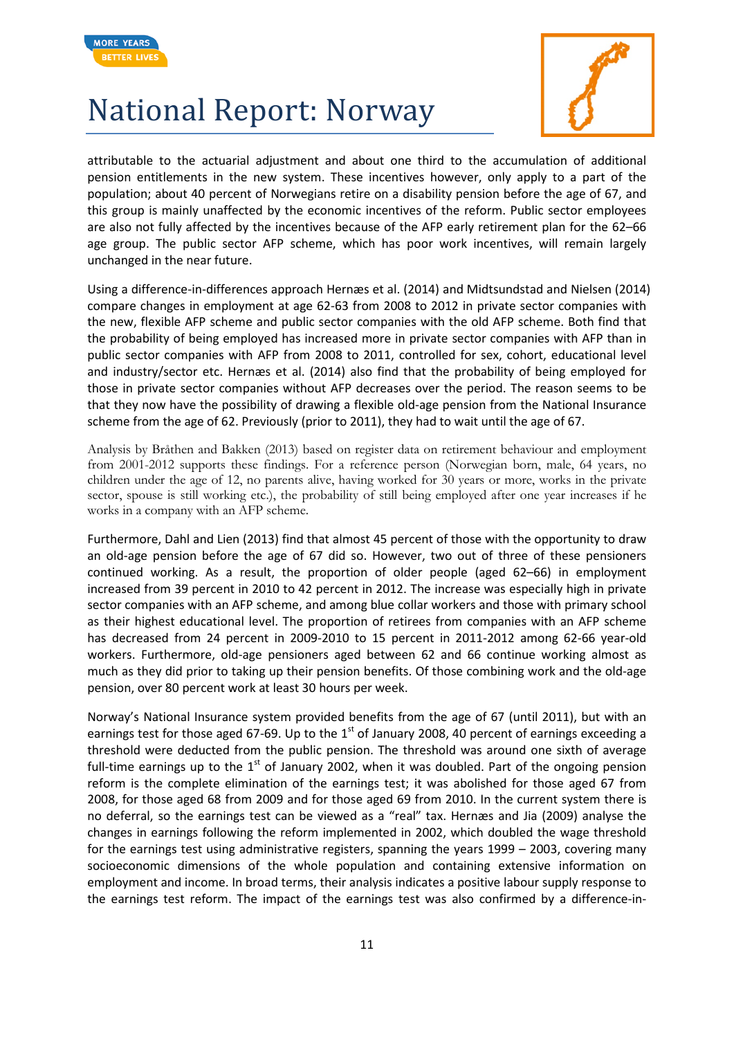



attributable to the actuarial adjustment and about one third to the accumulation of additional pension entitlements in the new system. These incentives however, only apply to a part of the population; about 40 percent of Norwegians retire on a disability pension before the age of 67, and this group is mainly unaffected by the economic incentives of the reform. Public sector employees are also not fully affected by the incentives because of the AFP early retirement plan for the 62–66 age group. The public sector AFP scheme, which has poor work incentives, will remain largely unchanged in the near future.

Using a difference-in-differences approach Hernæs et al. (2014) and Midtsundstad and Nielsen (2014) compare changes in employment at age 62-63 from 2008 to 2012 in private sector companies with the new, flexible AFP scheme and public sector companies with the old AFP scheme. Both find that the probability of being employed has increased more in private sector companies with AFP than in public sector companies with AFP from 2008 to 2011, controlled for sex, cohort, educational level and industry/sector etc. Hernæs et al. (2014) also find that the probability of being employed for those in private sector companies without AFP decreases over the period. The reason seems to be that they now have the possibility of drawing a flexible old-age pension from the National Insurance scheme from the age of 62. Previously (prior to 2011), they had to wait until the age of 67.

Analysis by Bråthen and Bakken (2013) based on register data on retirement behaviour and employment from 2001-2012 supports these findings. For a reference person (Norwegian born, male, 64 years, no children under the age of 12, no parents alive, having worked for 30 years or more, works in the private sector, spouse is still working etc.), the probability of still being employed after one year increases if he works in a company with an AFP scheme.

Furthermore, Dahl and Lien (2013) find that almost 45 percent of those with the opportunity to draw an old-age pension before the age of 67 did so. However, two out of three of these pensioners continued working. As a result, the proportion of older people (aged 62–66) in employment increased from 39 percent in 2010 to 42 percent in 2012. The increase was especially high in private sector companies with an AFP scheme, and among blue collar workers and those with primary school as their highest educational level. The proportion of retirees from companies with an AFP scheme has decreased from 24 percent in 2009-2010 to 15 percent in 2011-2012 among 62-66 year-old workers. Furthermore, old-age pensioners aged between 62 and 66 continue working almost as much as they did prior to taking up their pension benefits. Of those combining work and the old-age pension, over 80 percent work at least 30 hours per week.

Norway's National Insurance system provided benefits from the age of 67 (until 2011), but with an earnings test for those aged 67-69. Up to the  $1<sup>st</sup>$  of January 2008, 40 percent of earnings exceeding a threshold were deducted from the public pension. The threshold was around one sixth of average full-time earnings up to the  $1<sup>st</sup>$  of January 2002, when it was doubled. Part of the ongoing pension reform is the complete elimination of the earnings test; it was abolished for those aged 67 from 2008, for those aged 68 from 2009 and for those aged 69 from 2010. In the current system there is no deferral, so the earnings test can be viewed as a "real" tax. Hernæs and Jia (2009) analyse the changes in earnings following the reform implemented in 2002, which doubled the wage threshold for the earnings test using administrative registers, spanning the years 1999 – 2003, covering many socioeconomic dimensions of the whole population and containing extensive information on employment and income. In broad terms, their analysis indicates a positive labour supply response to the earnings test reform. The impact of the earnings test was also confirmed by a difference-in-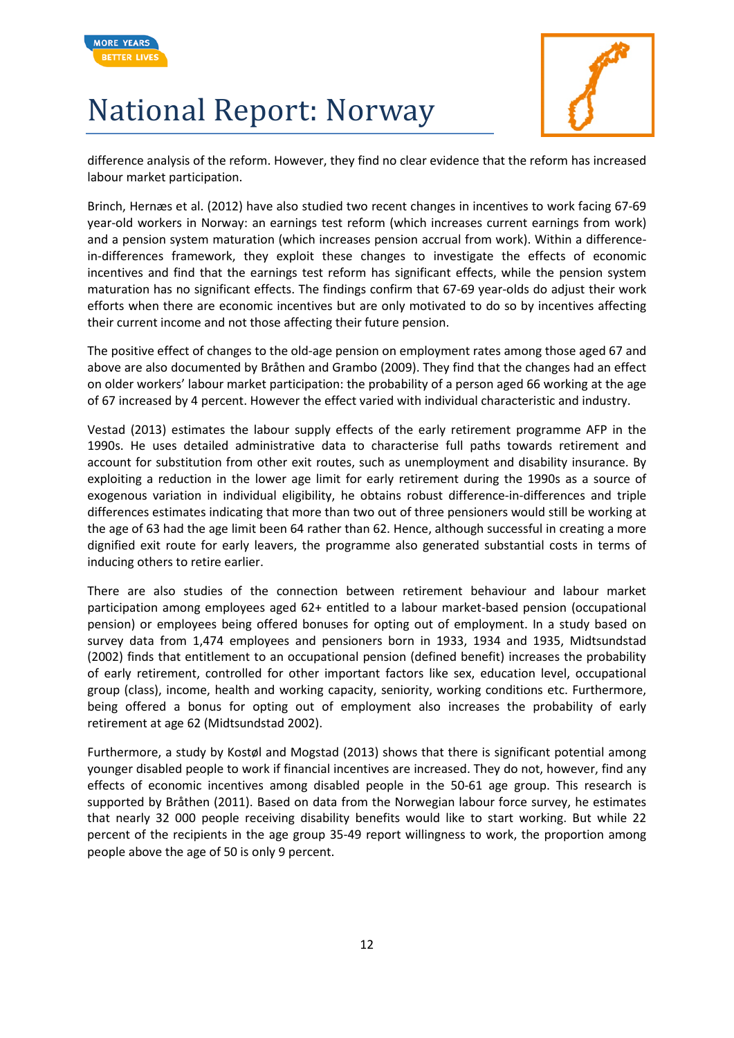



difference analysis of the reform. However, they find no clear evidence that the reform has increased labour market participation.

Brinch, Hernæs et al. (2012) have also studied two recent changes in incentives to work facing 67-69 year-old workers in Norway: an earnings test reform (which increases current earnings from work) and a pension system maturation (which increases pension accrual from work). Within a differencein-differences framework, they exploit these changes to investigate the effects of economic incentives and find that the earnings test reform has significant effects, while the pension system maturation has no significant effects. The findings confirm that 67-69 year-olds do adjust their work efforts when there are economic incentives but are only motivated to do so by incentives affecting their current income and not those affecting their future pension.

The positive effect of changes to the old-age pension on employment rates among those aged 67 and above are also documented by Bråthen and Grambo (2009). They find that the changes had an effect on older workers' labour market participation: the probability of a person aged 66 working at the age of 67 increased by 4 percent. However the effect varied with individual characteristic and industry.

Vestad (2013) estimates the labour supply effects of the early retirement programme AFP in the 1990s. He uses detailed administrative data to characterise full paths towards retirement and account for substitution from other exit routes, such as unemployment and disability insurance. By exploiting a reduction in the lower age limit for early retirement during the 1990s as a source of exogenous variation in individual eligibility, he obtains robust difference-in-differences and triple differences estimates indicating that more than two out of three pensioners would still be working at the age of 63 had the age limit been 64 rather than 62. Hence, although successful in creating a more dignified exit route for early leavers, the programme also generated substantial costs in terms of inducing others to retire earlier.

There are also studies of the connection between retirement behaviour and labour market participation among employees aged 62+ entitled to a labour market-based pension (occupational pension) or employees being offered bonuses for opting out of employment. In a study based on survey data from 1,474 employees and pensioners born in 1933, 1934 and 1935, Midtsundstad (2002) finds that entitlement to an occupational pension (defined benefit) increases the probability of early retirement, controlled for other important factors like sex, education level, occupational group (class), income, health and working capacity, seniority, working conditions etc. Furthermore, being offered a bonus for opting out of employment also increases the probability of early retirement at age 62 (Midtsundstad 2002).

Furthermore, a study by Kostøl and Mogstad (2013) shows that there is significant potential among younger disabled people to work if financial incentives are increased. They do not, however, find any effects of economic incentives among disabled people in the 50-61 age group. This research is supported by Bråthen (2011). Based on data from the Norwegian labour force survey, he estimates that nearly 32 000 people receiving disability benefits would like to start working. But while 22 percent of the recipients in the age group 35-49 report willingness to work, the proportion among people above the age of 50 is only 9 percent.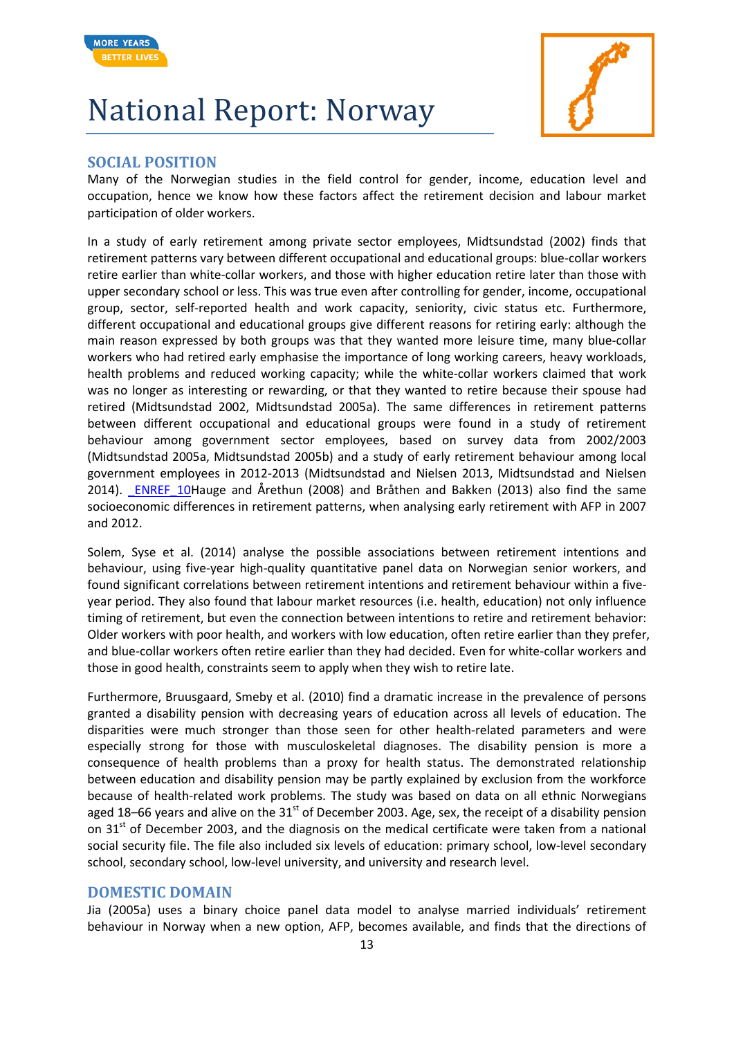



#### **SOCIAL POSITION**

Many of the Norwegian studies in the field control for gender, income, education level and occupation, hence we know how these factors affect the retirement decision and labour market participation of older workers.

In a study of early retirement among private sector employees, Midtsundstad (2002) finds that retirement patterns vary between different occupational and educational groups: blue-collar workers retire earlier than white-collar workers, and those with higher education retire later than those with upper secondary school or less. This was true even after controlling for gender, income, occupational group, sector, self-reported health and work capacity, seniority, civic status etc. Furthermore, different occupational and educational groups give different reasons for retiring early: although the main reason expressed by both groups was that they wanted more leisure time, many blue-collar workers who had retired early emphasise the importance of long working careers, heavy workloads, health problems and reduced working capacity; while the white-collar workers claimed that work was no longer as interesting or rewarding, or that they wanted to retire because their spouse had retired (Midtsundstad 2002, Midtsundstad 2005a). The same differences in retirement patterns between different occupational and educational groups were found in a study of retirement behaviour among government sector employees, based on survey data from 2002/2003 (Midtsundstad 2005a, Midtsundstad 2005b) and a study of early retirement behaviour among local government employees in 2012-2013 (Midtsundstad and Nielsen 2013, Midtsundstad and Nielsen 2014). ENREF 10Hauge and Årethun (2008) and Bråthen and Bakken (2013) also find the same socioeconomic differences in retirement patterns, when analysing early retirement with AFP in 2007 and 2012.

Solem, Syse et al. (2014) analyse the possible associations between retirement intentions and behaviour, using five-year high-quality quantitative panel data on Norwegian senior workers, and found significant correlations between retirement intentions and retirement behaviour within a fiveyear period. They also found that labour market resources (i.e. health, education) not only influence timing of retirement, but even the connection between intentions to retire and retirement behavior: Older workers with poor health, and workers with low education, often retire earlier than they prefer, and blue-collar workers often retire earlier than they had decided. Even for white-collar workers and those in good health, constraints seem to apply when they wish to retire late.

Furthermore, Bruusgaard, Smeby et al. (2010) find a dramatic increase in the prevalence of persons granted a disability pension with decreasing years of education across all levels of education. The disparities were much stronger than those seen for other health-related parameters and were especially strong for those with musculoskeletal diagnoses. The disability pension is more a consequence of health problems than a proxy for health status. The demonstrated relationship between education and disability pension may be partly explained by exclusion from the workforce because of health-related work problems. The study was based on data on all ethnic Norwegians aged 18–66 years and alive on the 31 $^{\text{st}}$  of December 2003. Age, sex, the receipt of a disability pension on  $31<sup>st</sup>$  of December 2003, and the diagnosis on the medical certificate were taken from a national social security file. The file also included six levels of education: primary school, low-level secondary school, secondary school, low-level university, and university and research level.

#### **DOMESTIC DOMAIN**

Jia (2005a) uses a binary choice panel data model to analyse married individuals' retirement behaviour in Norway when a new option, AFP, becomes available, and finds that the directions of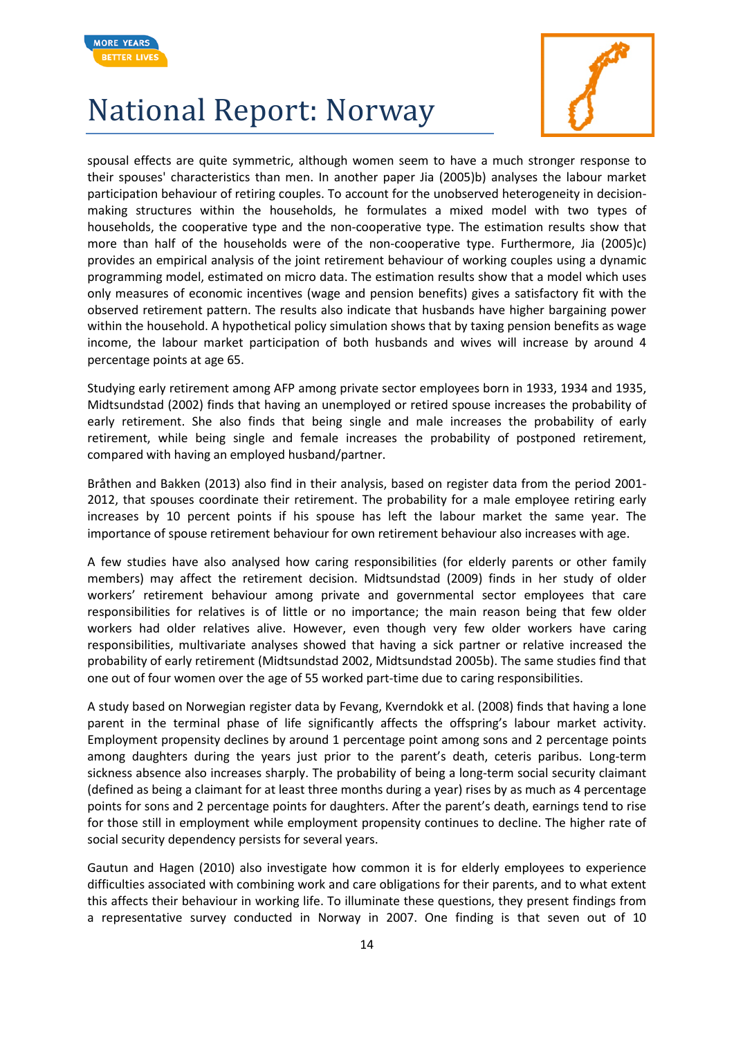



spousal effects are quite symmetric, although women seem to have a much stronger response to their spouses' characteristics than men. In another paper Jia (2005)b) analyses the labour market participation behaviour of retiring couples. To account for the unobserved heterogeneity in decisionmaking structures within the households, he formulates a mixed model with two types of households, the cooperative type and the non-cooperative type. The estimation results show that more than half of the households were of the non-cooperative type. Furthermore, Jia (2005)c) provides an empirical analysis of the joint retirement behaviour of working couples using a dynamic programming model, estimated on micro data. The estimation results show that a model which uses only measures of economic incentives (wage and pension benefits) gives a satisfactory fit with the observed retirement pattern. The results also indicate that husbands have higher bargaining power within the household. A hypothetical policy simulation shows that by taxing pension benefits as wage income, the labour market participation of both husbands and wives will increase by around 4 percentage points at age 65.

Studying early retirement among AFP among private sector employees born in 1933, 1934 and 1935, Midtsundstad (2002) finds that having an unemployed or retired spouse increases the probability of early retirement. She also finds that being single and male increases the probability of early retirement, while being single and female increases the probability of postponed retirement, compared with having an employed husband/partner.

Bråthen and Bakken (2013) also find in their analysis, based on register data from the period 2001- 2012, that spouses coordinate their retirement. The probability for a male employee retiring early increases by 10 percent points if his spouse has left the labour market the same year. The importance of spouse retirement behaviour for own retirement behaviour also increases with age.

A few studies have also analysed how caring responsibilities (for elderly parents or other family members) may affect the retirement decision. Midtsundstad (2009) finds in her study of older workers' retirement behaviour among private and governmental sector employees that care responsibilities for relatives is of little or no importance; the main reason being that few older workers had older relatives alive. However, even though very few older workers have caring responsibilities, multivariate analyses showed that having a sick partner or relative increased the probability of early retirement (Midtsundstad 2002, Midtsundstad 2005b). The same studies find that one out of four women over the age of 55 worked part-time due to caring responsibilities.

A study based on Norwegian register data by Fevang, Kverndokk et al. (2008) finds that having a lone parent in the terminal phase of life significantly affects the offspring's labour market activity. Employment propensity declines by around 1 percentage point among sons and 2 percentage points among daughters during the years just prior to the parent's death, ceteris paribus. Long-term sickness absence also increases sharply. The probability of being a long-term social security claimant (defined as being a claimant for at least three months during a year) rises by as much as 4 percentage points for sons and 2 percentage points for daughters. After the parent's death, earnings tend to rise for those still in employment while employment propensity continues to decline. The higher rate of social security dependency persists for several years.

Gautun and Hagen (2010) also investigate how common it is for elderly employees to experience difficulties associated with combining work and care obligations for their parents, and to what extent this affects their behaviour in working life. To illuminate these questions, they present findings from a representative survey conducted in Norway in 2007. One finding is that seven out of 10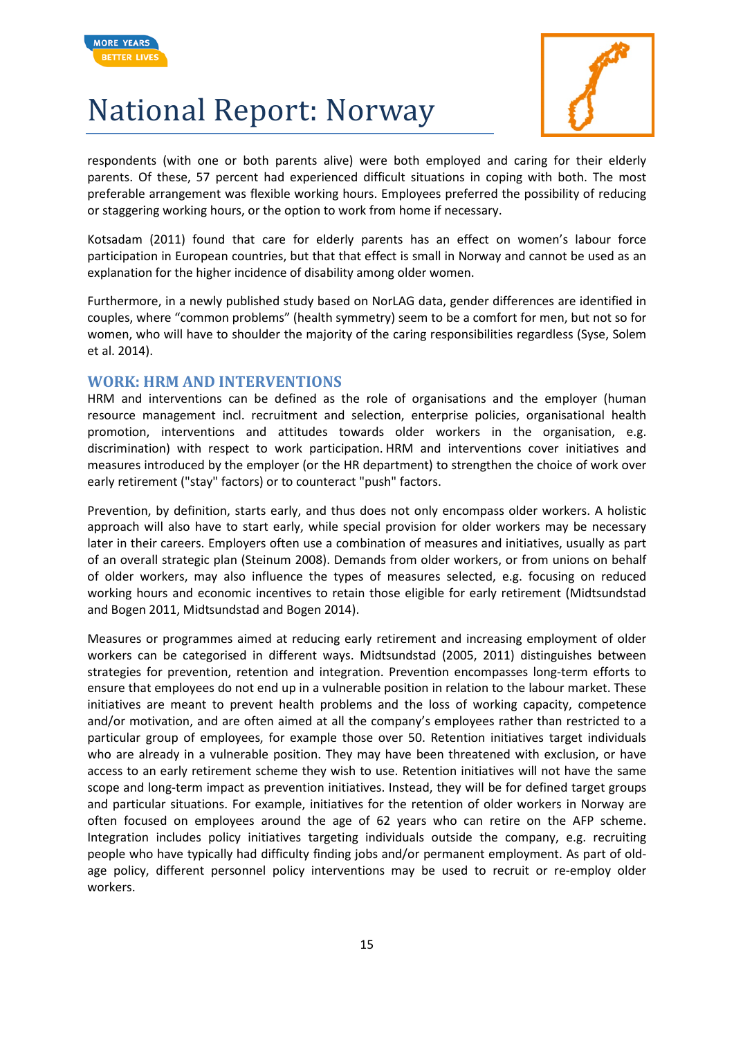



respondents (with one or both parents alive) were both employed and caring for their elderly parents. Of these, 57 percent had experienced difficult situations in coping with both. The most preferable arrangement was flexible working hours. Employees preferred the possibility of reducing or staggering working hours, or the option to work from home if necessary.

Kotsadam (2011) found that care for elderly parents has an effect on women's labour force participation in European countries, but that that effect is small in Norway and cannot be used as an explanation for the higher incidence of disability among older women.

Furthermore, in a newly published study based on NorLAG data, gender differences are identified in couples, where "common problems" (health symmetry) seem to be a comfort for men, but not so for women, who will have to shoulder the majority of the caring responsibilities regardless (Syse, Solem et al. 2014).

#### **WORK: HRM AND INTERVENTIONS**

HRM and interventions can be defined as the role of organisations and the employer (human resource management incl. recruitment and selection, enterprise policies, organisational health promotion, interventions and attitudes towards older workers in the organisation, e.g. discrimination) with respect to work participation. HRM and interventions cover initiatives and measures introduced by the employer (or the HR department) to strengthen the choice of work over early retirement ("stay" factors) or to counteract "push" factors.

Prevention, by definition, starts early, and thus does not only encompass older workers. A holistic approach will also have to start early, while special provision for older workers may be necessary later in their careers. Employers often use a combination of measures and initiatives, usually as part of an overall strategic plan (Steinum 2008). Demands from older workers, or from unions on behalf of older workers, may also influence the types of measures selected, e.g. focusing on reduced working hours and economic incentives to retain those eligible for early retirement (Midtsundstad and Bogen 2011, Midtsundstad and Bogen 2014).

Measures or programmes aimed at reducing early retirement and increasing employment of older workers can be categorised in different ways. Midtsundstad (2005, 2011) distinguishes between strategies for prevention, retention and integration. Prevention encompasses long-term efforts to ensure that employees do not end up in a vulnerable position in relation to the labour market. These initiatives are meant to prevent health problems and the loss of working capacity, competence and/or motivation, and are often aimed at all the company's employees rather than restricted to a particular group of employees, for example those over 50. Retention initiatives target individuals who are already in a vulnerable position. They may have been threatened with exclusion, or have access to an early retirement scheme they wish to use. Retention initiatives will not have the same scope and long-term impact as prevention initiatives. Instead, they will be for defined target groups and particular situations. For example, initiatives for the retention of older workers in Norway are often focused on employees around the age of 62 years who can retire on the AFP scheme. Integration includes policy initiatives targeting individuals outside the company, e.g. recruiting people who have typically had difficulty finding jobs and/or permanent employment. As part of oldage policy, different personnel policy interventions may be used to recruit or re-employ older workers.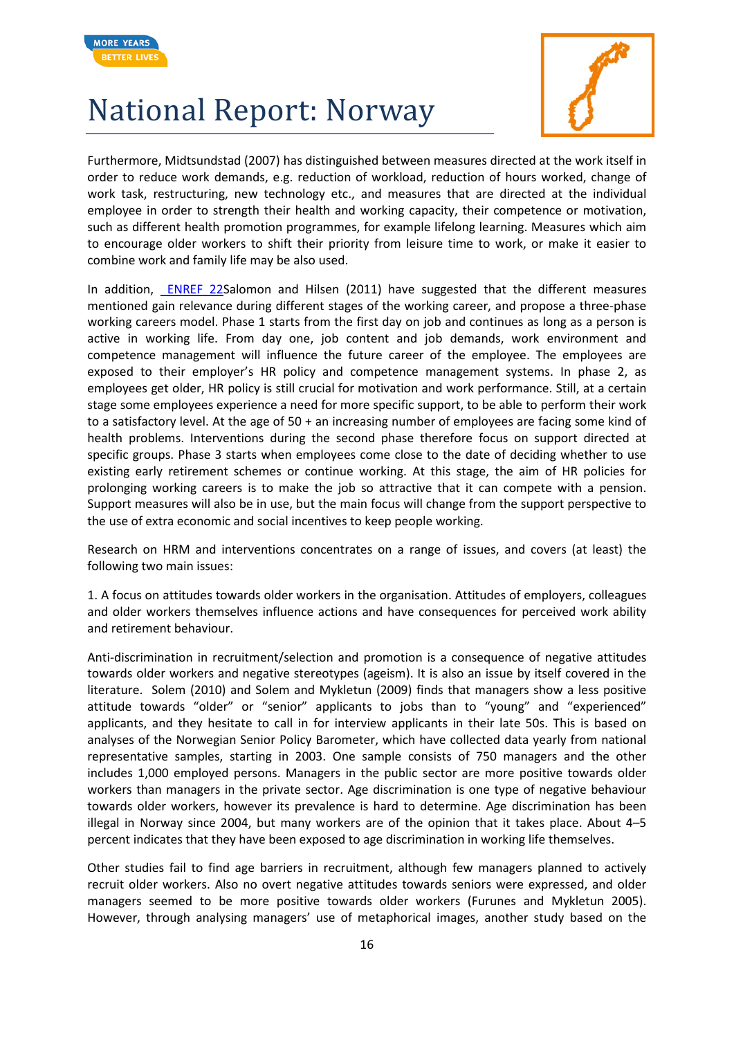



Furthermore, Midtsundstad (2007) has distinguished between measures directed at the work itself in order to reduce work demands, e.g. reduction of workload, reduction of hours worked, change of work task, restructuring, new technology etc., and measures that are directed at the individual employee in order to strength their health and working capacity, their competence or motivation, such as different health promotion programmes, for example lifelong learning. Measures which aim to encourage older workers to shift their priority from leisure time to work, or make it easier to combine work and family life may be also used.

In addition, **ENREF 22Salomon and Hilsen (2011) have suggested that the different measures** mentioned gain relevance during different stages of the working career, and propose a three-phase working careers model. Phase 1 starts from the first day on job and continues as long as a person is active in working life. From day one, job content and job demands, work environment and competence management will influence the future career of the employee. The employees are exposed to their employer's HR policy and competence management systems. In phase 2, as employees get older, HR policy is still crucial for motivation and work performance. Still, at a certain stage some employees experience a need for more specific support, to be able to perform their work to a satisfactory level. At the age of 50 + an increasing number of employees are facing some kind of health problems. Interventions during the second phase therefore focus on support directed at specific groups. Phase 3 starts when employees come close to the date of deciding whether to use existing early retirement schemes or continue working. At this stage, the aim of HR policies for prolonging working careers is to make the job so attractive that it can compete with a pension. Support measures will also be in use, but the main focus will change from the support perspective to the use of extra economic and social incentives to keep people working.

Research on HRM and interventions concentrates on a range of issues, and covers (at least) the following two main issues:

1. A focus on attitudes towards older workers in the organisation. Attitudes of employers, colleagues and older workers themselves influence actions and have consequences for perceived work ability and retirement behaviour.

Anti-discrimination in recruitment/selection and promotion is a consequence of negative attitudes towards older workers and negative stereotypes (ageism). It is also an issue by itself covered in the literature. Solem (2010) and Solem and Mykletun (2009) finds that managers show a less positive attitude towards "older" or "senior" applicants to jobs than to "young" and "experienced" applicants, and they hesitate to call in for interview applicants in their late 50s. This is based on analyses of the Norwegian Senior Policy Barometer, which have collected data yearly from national representative samples, starting in 2003. One sample consists of 750 managers and the other includes 1,000 employed persons. Managers in the public sector are more positive towards older workers than managers in the private sector. Age discrimination is one type of negative behaviour towards older workers, however its prevalence is hard to determine. Age discrimination has been illegal in Norway since 2004, but many workers are of the opinion that it takes place. About 4–5 percent indicates that they have been exposed to age discrimination in working life themselves.

Other studies fail to find age barriers in recruitment, although few managers planned to actively recruit older workers. Also no overt negative attitudes towards seniors were expressed, and older managers seemed to be more positive towards older workers (Furunes and Mykletun 2005). However, through analysing managers' use of metaphorical images, another study based on the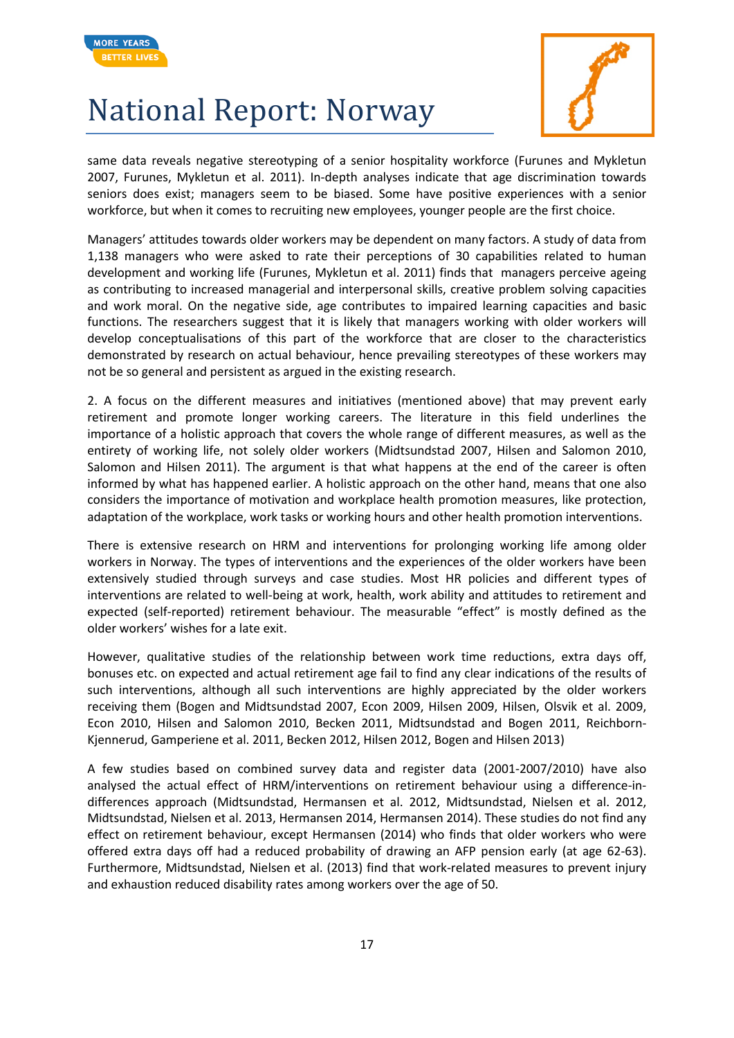



same data reveals negative stereotyping of a senior hospitality workforce (Furunes and Mykletun 2007, Furunes, Mykletun et al. 2011). In-depth analyses indicate that age discrimination towards seniors does exist; managers seem to be biased. Some have positive experiences with a senior workforce, but when it comes to recruiting new employees, younger people are the first choice.

Managers' attitudes towards older workers may be dependent on many factors. A study of data from 1,138 managers who were asked to rate their perceptions of 30 capabilities related to human development and working life (Furunes, Mykletun et al. 2011) finds that managers perceive ageing as contributing to increased managerial and interpersonal skills, creative problem solving capacities and work moral. On the negative side, age contributes to impaired learning capacities and basic functions. The researchers suggest that it is likely that managers working with older workers will develop conceptualisations of this part of the workforce that are closer to the characteristics demonstrated by research on actual behaviour, hence prevailing stereotypes of these workers may not be so general and persistent as argued in the existing research.

2. A focus on the different measures and initiatives (mentioned above) that may prevent early retirement and promote longer working careers. The literature in this field underlines the importance of a holistic approach that covers the whole range of different measures, as well as the entirety of working life, not solely older workers (Midtsundstad 2007, Hilsen and Salomon 2010, Salomon and Hilsen 2011). The argument is that what happens at the end of the career is often informed by what has happened earlier. A holistic approach on the other hand, means that one also considers the importance of motivation and workplace health promotion measures, like protection, adaptation of the workplace, work tasks or working hours and other health promotion interventions.

There is extensive research on HRM and interventions for prolonging working life among older workers in Norway. The types of interventions and the experiences of the older workers have been extensively studied through surveys and case studies. Most HR policies and different types of interventions are related to well-being at work, health, work ability and attitudes to retirement and expected (self-reported) retirement behaviour. The measurable "effect" is mostly defined as the older workers' wishes for a late exit.

However, qualitative studies of the relationship between work time reductions, extra days off, bonuses etc. on expected and actual retirement age fail to find any clear indications of the results of such interventions, although all such interventions are highly appreciated by the older workers receiving them (Bogen and Midtsundstad 2007, Econ 2009, Hilsen 2009, Hilsen, Olsvik et al. 2009, Econ 2010, Hilsen and Salomon 2010, Becken 2011, Midtsundstad and Bogen 2011, Reichborn-Kjennerud, Gamperiene et al. 2011, Becken 2012, Hilsen 2012, Bogen and Hilsen 2013)

A few studies based on combined survey data and register data (2001-2007/2010) have also analysed the actual effect of HRM/interventions on retirement behaviour using a difference-indifferences approach (Midtsundstad, Hermansen et al. 2012, Midtsundstad, Nielsen et al. 2012, Midtsundstad, Nielsen et al. 2013, Hermansen 2014, Hermansen 2014). These studies do not find any effect on retirement behaviour, except Hermansen (2014) who finds that older workers who were offered extra days off had a reduced probability of drawing an AFP pension early (at age 62-63). Furthermore, Midtsundstad, Nielsen et al. (2013) find that work-related measures to prevent injury and exhaustion reduced disability rates among workers over the age of 50.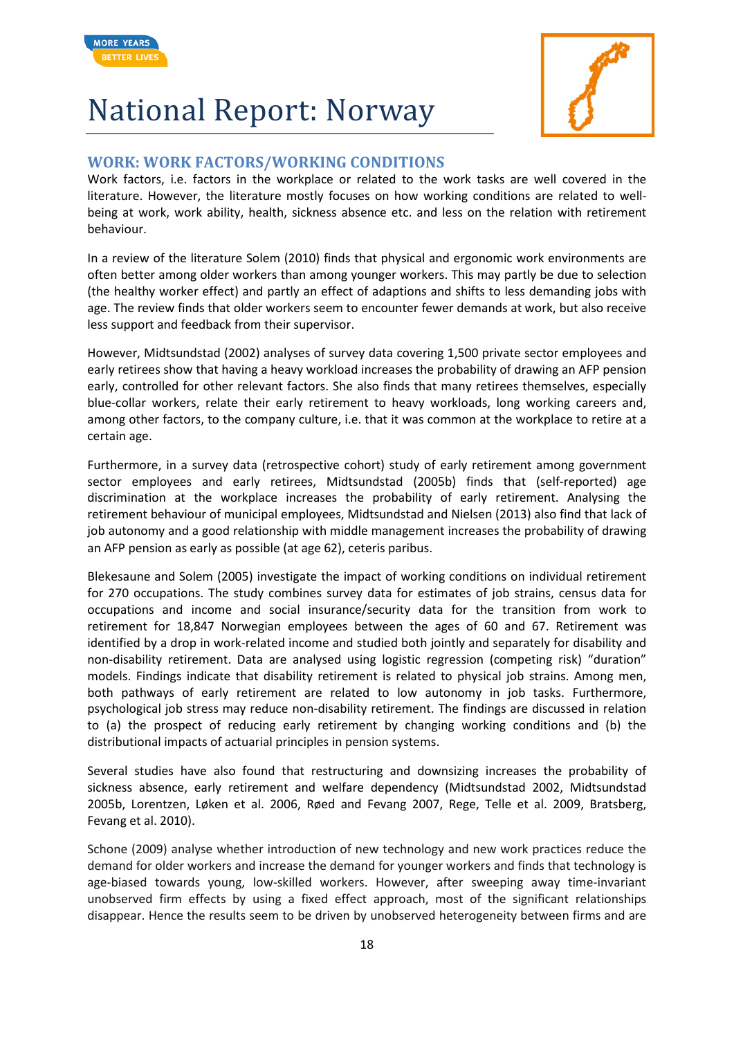



#### **WORK: WORK FACTORS/WORKING CONDITIONS**

Work factors, i.e. factors in the workplace or related to the work tasks are well covered in the literature. However, the literature mostly focuses on how working conditions are related to wellbeing at work, work ability, health, sickness absence etc. and less on the relation with retirement behaviour.

In a review of the literature Solem (2010) finds that physical and ergonomic work environments are often better among older workers than among younger workers. This may partly be due to selection (the healthy worker effect) and partly an effect of adaptions and shifts to less demanding jobs with age. The review finds that older workers seem to encounter fewer demands at work, but also receive less support and feedback from their supervisor.

However, Midtsundstad (2002) analyses of survey data covering 1,500 private sector employees and early retirees show that having a heavy workload increases the probability of drawing an AFP pension early, controlled for other relevant factors. She also finds that many retirees themselves, especially blue-collar workers, relate their early retirement to heavy workloads, long working careers and, among other factors, to the company culture, i.e. that it was common at the workplace to retire at a certain age.

Furthermore, in a survey data (retrospective cohort) study of early retirement among government sector employees and early retirees, Midtsundstad (2005b) finds that (self-reported) age discrimination at the workplace increases the probability of early retirement. Analysing the retirement behaviour of municipal employees, Midtsundstad and Nielsen (2013) also find that lack of job autonomy and a good relationship with middle management increases the probability of drawing an AFP pension as early as possible (at age 62), ceteris paribus.

Blekesaune and Solem (2005) investigate the impact of working conditions on individual retirement for 270 occupations. The study combines survey data for estimates of job strains, census data for occupations and income and social insurance/security data for the transition from work to retirement for 18,847 Norwegian employees between the ages of 60 and 67. Retirement was identified by a drop in work-related income and studied both jointly and separately for disability and non-disability retirement. Data are analysed using logistic regression (competing risk) "duration" models. Findings indicate that disability retirement is related to physical job strains. Among men, both pathways of early retirement are related to low autonomy in job tasks. Furthermore, psychological job stress may reduce non-disability retirement. The findings are discussed in relation to (a) the prospect of reducing early retirement by changing working conditions and (b) the distributional impacts of actuarial principles in pension systems.

Several studies have also found that restructuring and downsizing increases the probability of sickness absence, early retirement and welfare dependency (Midtsundstad 2002, Midtsundstad 2005b, Lorentzen, Løken et al. 2006, Røed and Fevang 2007, Rege, Telle et al. 2009, Bratsberg, Fevang et al. 2010).

Schone (2009) analyse whether introduction of new technology and new work practices reduce the demand for older workers and increase the demand for younger workers and finds that technology is age-biased towards young, low-skilled workers. However, after sweeping away time-invariant unobserved firm effects by using a fixed effect approach, most of the significant relationships disappear. Hence the results seem to be driven by unobserved heterogeneity between firms and are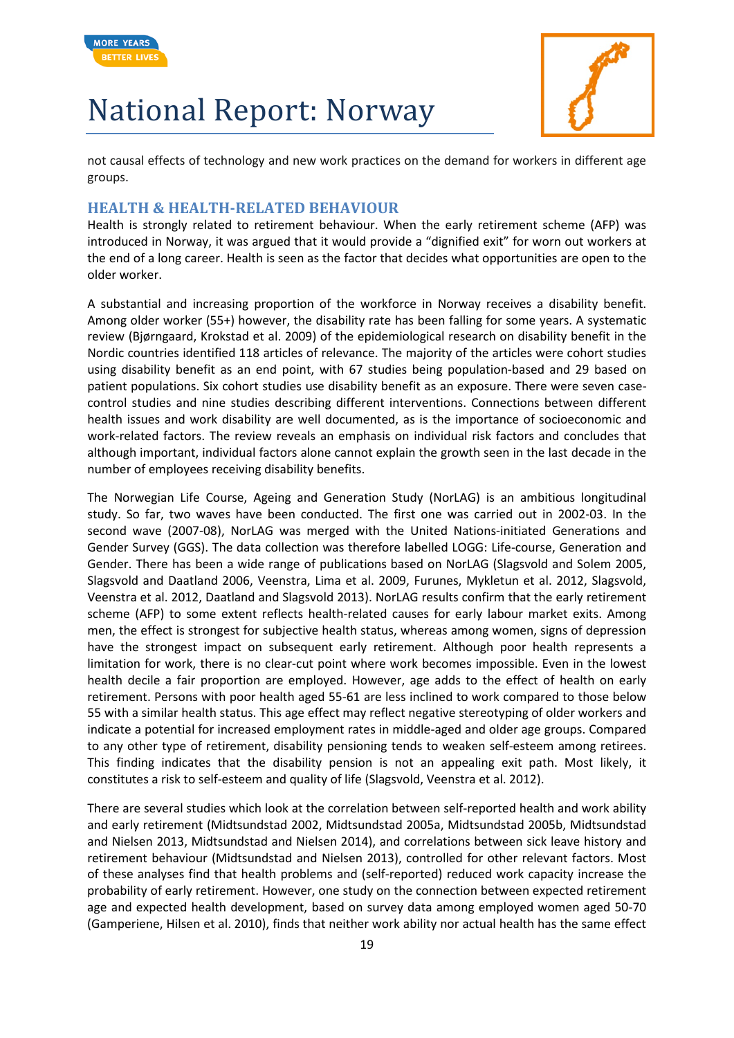



not causal effects of technology and new work practices on the demand for workers in different age groups.

#### **HEALTH & HEALTH-RELATED BEHAVIOUR**

Health is strongly related to retirement behaviour. When the early retirement scheme (AFP) was introduced in Norway, it was argued that it would provide a "dignified exit" for worn out workers at the end of a long career. Health is seen as the factor that decides what opportunities are open to the older worker.

A substantial and increasing proportion of the workforce in Norway receives a disability benefit. Among older worker (55+) however, the disability rate has been falling for some years. A systematic review (Bjørngaard, Krokstad et al. 2009) of the epidemiological research on disability benefit in the Nordic countries identified 118 articles of relevance. The majority of the articles were cohort studies using disability benefit as an end point, with 67 studies being population-based and 29 based on patient populations. Six cohort studies use disability benefit as an exposure. There were seven casecontrol studies and nine studies describing different interventions. Connections between different health issues and work disability are well documented, as is the importance of socioeconomic and work-related factors. The review reveals an emphasis on individual risk factors and concludes that although important, individual factors alone cannot explain the growth seen in the last decade in the number of employees receiving disability benefits.

The Norwegian Life Course, Ageing and Generation Study (NorLAG) is an ambitious longitudinal study. So far, two waves have been conducted. The first one was carried out in 2002-03. In the second wave (2007-08), NorLAG was merged with the United Nations-initiated Generations and Gender Survey (GGS). The data collection was therefore labelled LOGG: Life-course, Generation and Gender. There has been a wide range of publications based on NorLAG (Slagsvold and Solem 2005, Slagsvold and Daatland 2006, Veenstra, Lima et al. 2009, Furunes, Mykletun et al. 2012, Slagsvold, Veenstra et al. 2012, Daatland and Slagsvold 2013). NorLAG results confirm that the early retirement scheme (AFP) to some extent reflects health-related causes for early labour market exits. Among men, the effect is strongest for subjective health status, whereas among women, signs of depression have the strongest impact on subsequent early retirement. Although poor health represents a limitation for work, there is no clear-cut point where work becomes impossible. Even in the lowest health decile a fair proportion are employed. However, age adds to the effect of health on early retirement. Persons with poor health aged 55-61 are less inclined to work compared to those below 55 with a similar health status. This age effect may reflect negative stereotyping of older workers and indicate a potential for increased employment rates in middle-aged and older age groups. Compared to any other type of retirement, disability pensioning tends to weaken self-esteem among retirees. This finding indicates that the disability pension is not an appealing exit path. Most likely, it constitutes a risk to self-esteem and quality of life (Slagsvold, Veenstra et al. 2012).

There are several studies which look at the correlation between self-reported health and work ability and early retirement (Midtsundstad 2002, Midtsundstad 2005a, Midtsundstad 2005b, Midtsundstad and Nielsen 2013, Midtsundstad and Nielsen 2014), and correlations between sick leave history and retirement behaviour (Midtsundstad and Nielsen 2013), controlled for other relevant factors. Most of these analyses find that health problems and (self-reported) reduced work capacity increase the probability of early retirement. However, one study on the connection between expected retirement age and expected health development, based on survey data among employed women aged 50-70 (Gamperiene, Hilsen et al. 2010), finds that neither work ability nor actual health has the same effect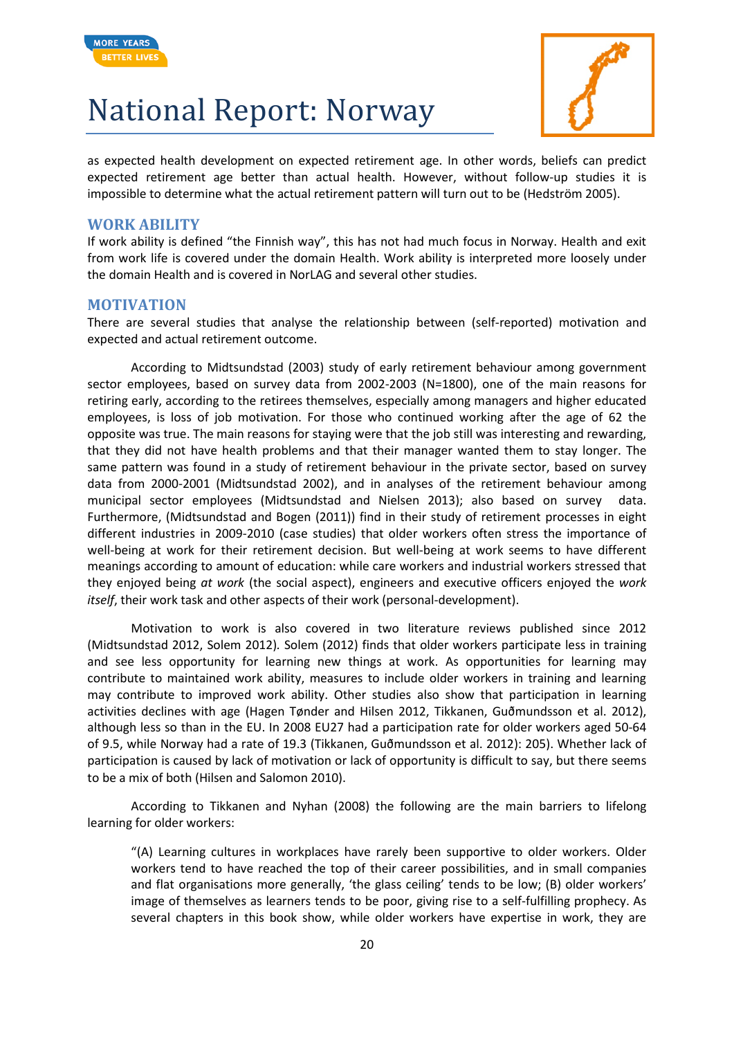



as expected health development on expected retirement age. In other words, beliefs can predict expected retirement age better than actual health. However, without follow-up studies it is impossible to determine what the actual retirement pattern will turn out to be (Hedström 2005).

#### **WORK ABILITY**

If work ability is defined "the Finnish way", this has not had much focus in Norway. Health and exit from work life is covered under the domain Health. Work ability is interpreted more loosely under the domain Health and is covered in NorLAG and several other studies.

#### **MOTIVATION**

There are several studies that analyse the relationship between (self-reported) motivation and expected and actual retirement outcome.

According to Midtsundstad (2003) study of early retirement behaviour among government sector employees, based on survey data from 2002-2003 (N=1800), one of the main reasons for retiring early, according to the retirees themselves, especially among managers and higher educated employees, is loss of job motivation. For those who continued working after the age of 62 the opposite was true. The main reasons for staying were that the job still was interesting and rewarding, that they did not have health problems and that their manager wanted them to stay longer. The same pattern was found in a study of retirement behaviour in the private sector, based on survey data from 2000-2001 (Midtsundstad 2002), and in analyses of the retirement behaviour among municipal sector employees (Midtsundstad and Nielsen 2013); also based on survey data. Furthermore, (Midtsundstad and Bogen (2011)) find in their study of retirement processes in eight different industries in 2009-2010 (case studies) that older workers often stress the importance of well-being at work for their retirement decision. But well-being at work seems to have different meanings according to amount of education: while care workers and industrial workers stressed that they enjoyed being *at work* (the social aspect), engineers and executive officers enjoyed the *work itself*, their work task and other aspects of their work (personal-development).

Motivation to work is also covered in two literature reviews published since 2012 (Midtsundstad 2012, Solem 2012)*.* Solem (2012) finds that older workers participate less in training and see less opportunity for learning new things at work. As opportunities for learning may contribute to maintained work ability, measures to include older workers in training and learning may contribute to improved work ability. Other studies also show that participation in learning activities declines with age (Hagen Tønder and Hilsen 2012, Tikkanen, Guðmundsson et al. 2012), although less so than in the EU. In 2008 EU27 had a participation rate for older workers aged 50-64 of 9.5, while Norway had a rate of 19.3 (Tikkanen, Guðmundsson et al. 2012): 205). Whether lack of participation is caused by lack of motivation or lack of opportunity is difficult to say, but there seems to be a mix of both (Hilsen and Salomon 2010).

According to Tikkanen and Nyhan (2008) the following are the main barriers to lifelong learning for older workers:

"(A) Learning cultures in workplaces have rarely been supportive to older workers. Older workers tend to have reached the top of their career possibilities, and in small companies and flat organisations more generally, 'the glass ceiling' tends to be low; (B) older workers' image of themselves as learners tends to be poor, giving rise to a self-fulfilling prophecy. As several chapters in this book show, while older workers have expertise in work, they are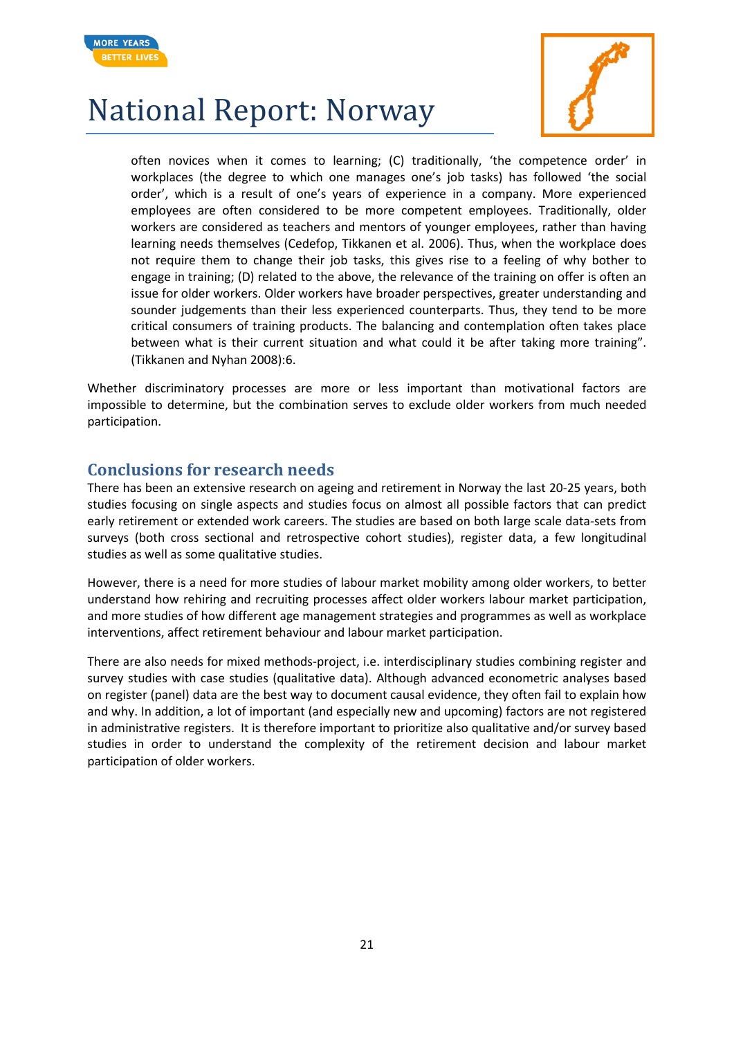



often novices when it comes to learning; (C) traditionally, 'the competence order' in workplaces (the degree to which one manages one's job tasks) has followed 'the social order', which is a result of one's years of experience in a company. More experienced employees are often considered to be more competent employees. Traditionally, older workers are considered as teachers and mentors of younger employees, rather than having learning needs themselves (Cedefop, Tikkanen et al. 2006). Thus, when the workplace does not require them to change their job tasks, this gives rise to a feeling of why bother to engage in training; (D) related to the above, the relevance of the training on offer is often an issue for older workers. Older workers have broader perspectives, greater understanding and sounder judgements than their less experienced counterparts. Thus, they tend to be more critical consumers of training products. The balancing and contemplation often takes place between what is their current situation and what could it be after taking more training". (Tikkanen and Nyhan 2008):6.

Whether discriminatory processes are more or less important than motivational factors are impossible to determine, but the combination serves to exclude older workers from much needed participation.

#### **Conclusions for research needs**

There has been an extensive research on ageing and retirement in Norway the last 20-25 years, both studies focusing on single aspects and studies focus on almost all possible factors that can predict early retirement or extended work careers. The studies are based on both large scale data-sets from surveys (both cross sectional and retrospective cohort studies), register data, a few longitudinal studies as well as some qualitative studies.

However, there is a need for more studies of labour market mobility among older workers, to better understand how rehiring and recruiting processes affect older workers labour market participation, and more studies of how different age management strategies and programmes as well as workplace interventions, affect retirement behaviour and labour market participation.

There are also needs for mixed methods-project, i.e. interdisciplinary studies combining register and survey studies with case studies (qualitative data). Although advanced econometric analyses based on register (panel) data are the best way to document causal evidence, they often fail to explain how and why. In addition, a lot of important (and especially new and upcoming) factors are not registered in administrative registers. It is therefore important to prioritize also qualitative and/or survey based studies in order to understand the complexity of the retirement decision and labour market participation of older workers.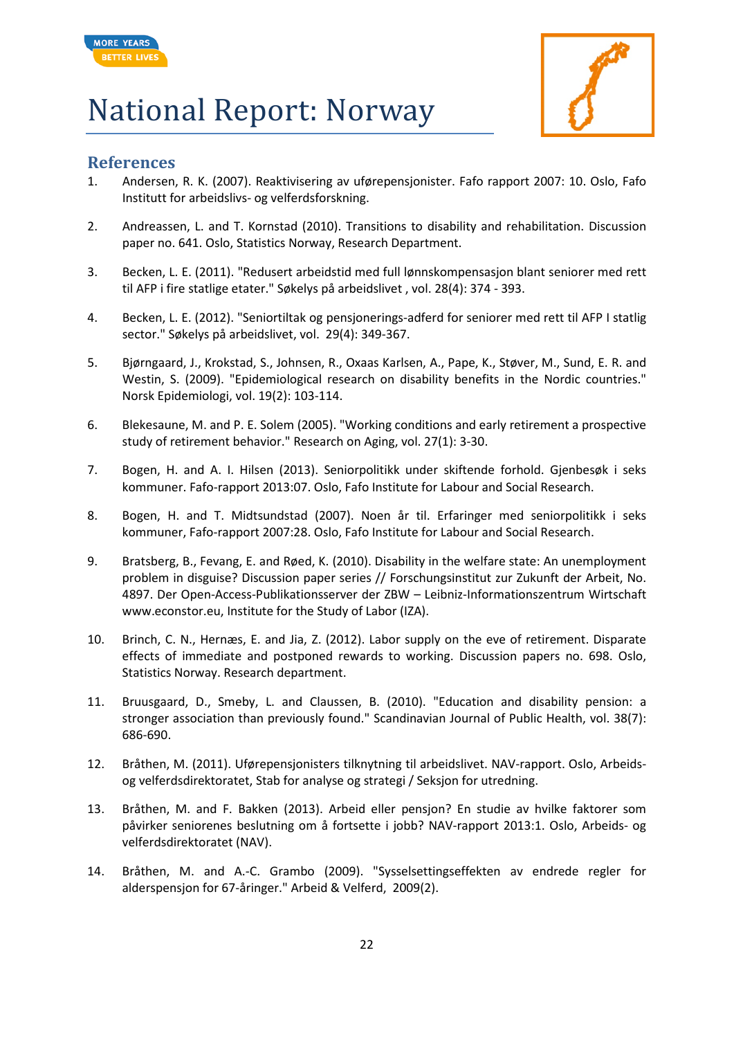



#### **References**

- <span id="page-21-0"></span>1. Andersen, R. K. (2007). Reaktivisering av uførepensjonister. Fafo rapport 2007: 10. Oslo, Fafo Institutt for arbeidslivs- og velferdsforskning.
- 2. Andreassen, L. and T. Kornstad (2010). Transitions to disability and rehabilitation. Discussion paper no. 641. Oslo, Statistics Norway, Research Department.
- 3. Becken, L. E. (2011). "Redusert arbeidstid med full lønnskompensasjon blant seniorer med rett til AFP i fire statlige etater." Søkelys på arbeidslivet , vol. 28(4): 374 - 393.
- 4. Becken, L. E. (2012). "Seniortiltak og pensjonerings-adferd for seniorer med rett til AFP I statlig sector." Søkelys på arbeidslivet, vol. 29(4): 349-367.
- 5. Bjørngaard, J., Krokstad, S., Johnsen, R., Oxaas Karlsen, A., Pape, K., Støver, M., Sund, E. R. and Westin, S. (2009). "Epidemiological research on disability benefits in the Nordic countries." Norsk Epidemiologi, vol. 19(2): 103-114.
- 6. Blekesaune, M. and P. E. Solem (2005). "Working conditions and early retirement a prospective study of retirement behavior." Research on Aging, vol. 27(1): 3-30.
- 7. Bogen, H. and A. I. Hilsen (2013). Seniorpolitikk under skiftende forhold. Gjenbesøk i seks kommuner. Fafo-rapport 2013:07. Oslo, Fafo Institute for Labour and Social Research.
- 8. Bogen, H. and T. Midtsundstad (2007). Noen år til. Erfaringer med seniorpolitikk i seks kommuner, Fafo-rapport 2007:28. Oslo, Fafo Institute for Labour and Social Research.
- 9. Bratsberg, B., Fevang, E. and Røed, K. (2010). Disability in the welfare state: An unemployment problem in disguise? Discussion paper series // Forschungsinstitut zur Zukunft der Arbeit, No. 4897. Der Open-Access-Publikationsserver der ZBW – Leibniz-Informationszentrum Wirtschaft www.econstor.eu, Institute for the Study of Labor (IZA).
- <span id="page-21-1"></span>10. Brinch, C. N., Hernæs, E. and Jia, Z. (2012). Labor supply on the eve of retirement. Disparate effects of immediate and postponed rewards to working. Discussion papers no. 698. Oslo, Statistics Norway. Research department.
- 11. Bruusgaard, D., Smeby, L. and Claussen, B. (2010). "Education and disability pension: a stronger association than previously found." Scandinavian Journal of Public Health, vol. 38(7): 686-690.
- 12. Bråthen, M. (2011). Uførepensjonisters tilknytning til arbeidslivet. NAV-rapport. Oslo, Arbeidsog velferdsdirektoratet, Stab for analyse og strategi / Seksjon for utredning.
- 13. Bråthen, M. and F. Bakken (2013). Arbeid eller pensjon? En studie av hvilke faktorer som påvirker seniorenes beslutning om å fortsette i jobb? NAV-rapport 2013:1. Oslo, Arbeids- og velferdsdirektoratet (NAV).
- 14. Bråthen, M. and A.-C. Grambo (2009). "Sysselsettingseffekten av endrede regler for alderspensjon for 67-åringer." Arbeid & Velferd, 2009(2).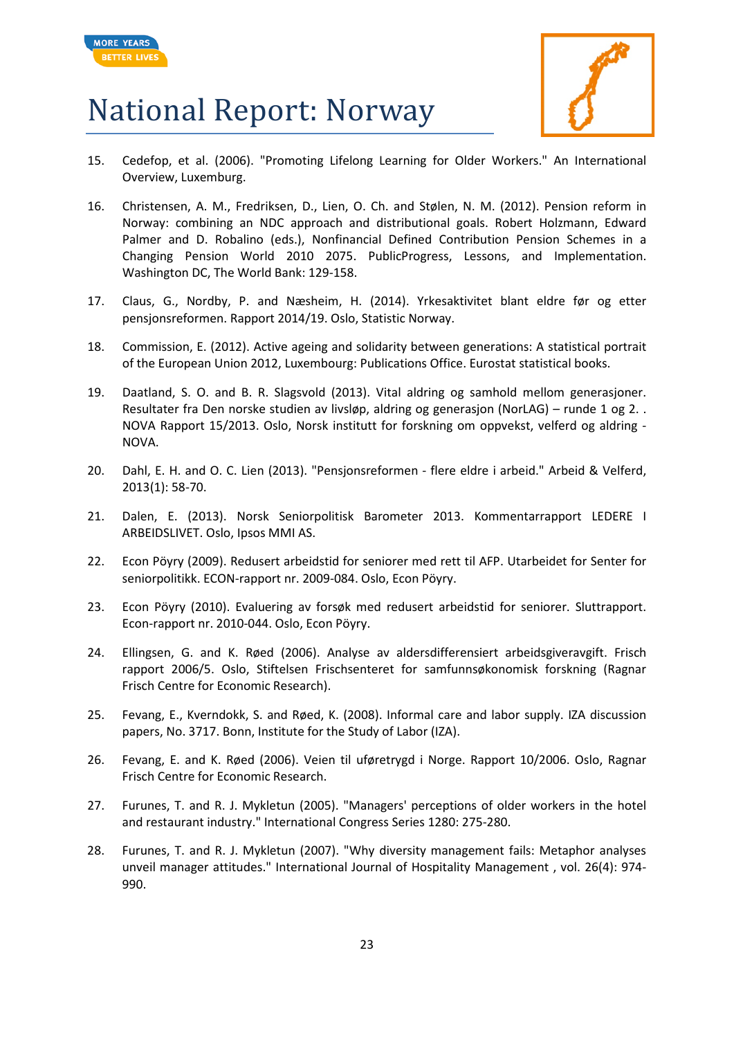



- 15. Cedefop, et al. (2006). "Promoting Lifelong Learning for Older Workers." An International Overview, Luxemburg.
- 16. Christensen, A. M., Fredriksen, D., Lien, O. Ch. and Stølen, N. M. (2012). Pension reform in Norway: combining an NDC approach and distributional goals. Robert Holzmann, Edward Palmer and D. Robalino (eds.), Nonfinancial Defined Contribution Pension Schemes in a Changing Pension World 2010 2075. PublicProgress, Lessons, and Implementation. Washington DC, The World Bank: 129-158.
- 17. Claus, G., Nordby, P. and Næsheim, H. (2014). Yrkesaktivitet blant eldre før og etter pensjonsreformen. Rapport 2014/19. Oslo, Statistic Norway.
- 18. Commission, E. (2012). Active ageing and solidarity between generations: A statistical portrait of the European Union 2012, Luxembourg: Publications Office. Eurostat statistical books.
- 19. Daatland, S. O. and B. R. Slagsvold (2013). Vital aldring og samhold mellom generasjoner. Resultater fra Den norske studien av livsløp, aldring og generasjon (NorLAG) – runde 1 og 2. . NOVA Rapport 15/2013. Oslo, Norsk institutt for forskning om oppvekst, velferd og aldring - NOVA.
- 20. Dahl, E. H. and O. C. Lien (2013). "Pensjonsreformen flere eldre i arbeid." Arbeid & Velferd, 2013(1): 58-70.
- 21. Dalen, E. (2013). Norsk Seniorpolitisk Barometer 2013. Kommentarrapport LEDERE I ARBEIDSLIVET. Oslo, Ipsos MMI AS.
- <span id="page-22-0"></span>22. Econ Pöyry (2009). Redusert arbeidstid for seniorer med rett til AFP. Utarbeidet for Senter for seniorpolitikk. ECON-rapport nr. 2009-084. Oslo, Econ Pöyry.
- 23. Econ Pöyry (2010). Evaluering av forsøk med redusert arbeidstid for seniorer. Sluttrapport. Econ-rapport nr. 2010-044. Oslo, Econ Pöyry.
- 24. Ellingsen, G. and K. Røed (2006). Analyse av aldersdifferensiert arbeidsgiveravgift. Frisch rapport 2006/5. Oslo, Stiftelsen Frischsenteret for samfunnsøkonomisk forskning (Ragnar Frisch Centre for Economic Research).
- 25. Fevang, E., Kverndokk, S. and Røed, K. (2008). Informal care and labor supply. IZA discussion papers, No. 3717. Bonn, Institute for the Study of Labor (IZA).
- 26. Fevang, E. and K. Røed (2006). Veien til uføretrygd i Norge. Rapport 10/2006. Oslo, Ragnar Frisch Centre for Economic Research.
- 27. Furunes, T. and R. J. Mykletun (2005). "Managers' perceptions of older workers in the hotel and restaurant industry." International Congress Series 1280: 275-280.
- 28. Furunes, T. and R. J. Mykletun (2007). "Why diversity management fails: Metaphor analyses unveil manager attitudes." International Journal of Hospitality Management , vol. 26(4): 974- 990.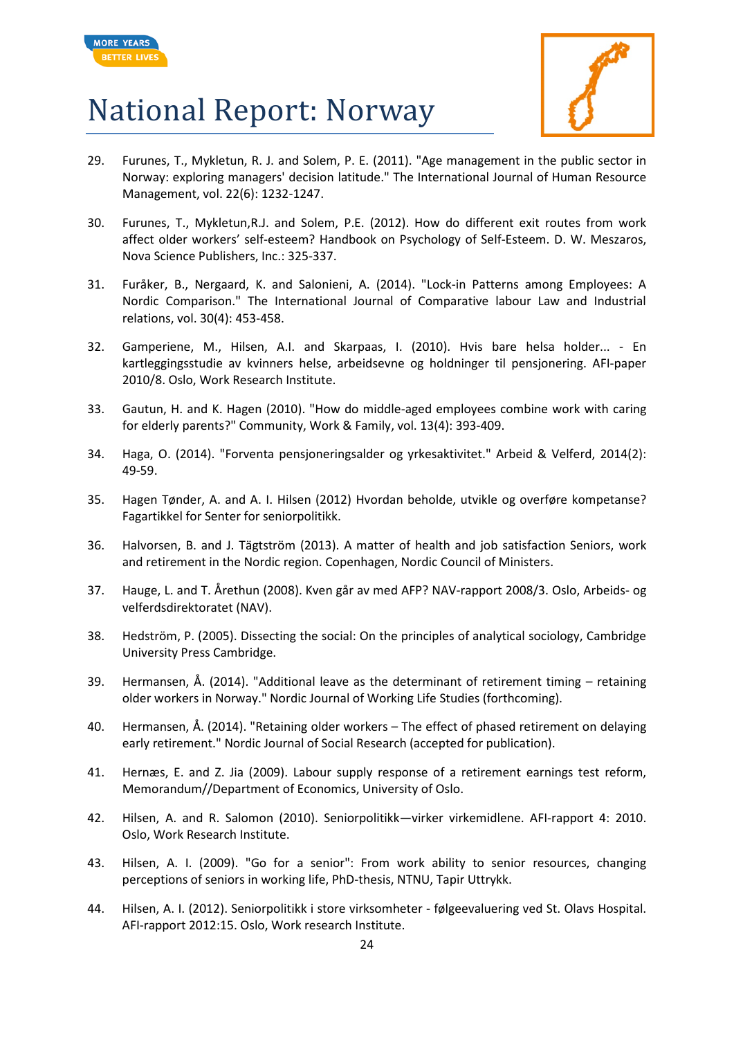



- 29. Furunes, T., Mykletun, R. J. and Solem, P. E. (2011). "Age management in the public sector in Norway: exploring managers' decision latitude." The International Journal of Human Resource Management, vol. 22(6): 1232-1247.
- 30. Furunes, T., Mykletun,R.J. and Solem, P.E. (2012). How do different exit routes from work affect older workers' self-esteem? Handbook on Psychology of Self-Esteem. D. W. Meszaros, Nova Science Publishers, Inc.: 325-337.
- 31. Furåker, B., Nergaard, K. and Salonieni, A. (2014). "Lock-in Patterns among Employees: A Nordic Comparison." The International Journal of Comparative labour Law and Industrial relations, vol. 30(4): 453-458.
- 32. Gamperiene, M., Hilsen, A.I. and Skarpaas, I. (2010). Hvis bare helsa holder... En kartleggingsstudie av kvinners helse, arbeidsevne og holdninger til pensjonering. AFI-paper 2010/8. Oslo, Work Research Institute.
- 33. Gautun, H. and K. Hagen (2010). "How do middle-aged employees combine work with caring for elderly parents?" Community, Work & Family, vol. 13(4): 393-409.
- 34. Haga, O. (2014). "Forventa pensjoneringsalder og yrkesaktivitet." Arbeid & Velferd, 2014(2): 49-59.
- 35. Hagen Tønder, A. and A. I. Hilsen (2012) Hvordan beholde, utvikle og overføre kompetanse? Fagartikkel for Senter for seniorpolitikk.
- 36. Halvorsen, B. and J. Tägtström (2013). A matter of health and job satisfaction Seniors, work and retirement in the Nordic region. Copenhagen, Nordic Council of Ministers.
- 37. Hauge, L. and T. Årethun (2008). Kven går av med AFP? NAV-rapport 2008/3. Oslo, Arbeids- og velferdsdirektoratet (NAV).
- 38. Hedström, P. (2005). Dissecting the social: On the principles of analytical sociology, Cambridge University Press Cambridge.
- 39. Hermansen, Å. (2014). "Additional leave as the determinant of retirement timing retaining older workers in Norway." Nordic Journal of Working Life Studies (forthcoming).
- 40. Hermansen, Å. (2014). "Retaining older workers The effect of phased retirement on delaying early retirement." Nordic Journal of Social Research (accepted for publication).
- 41. Hernæs, E. and Z. Jia (2009). Labour supply response of a retirement earnings test reform, Memorandum//Department of Economics, University of Oslo.
- 42. Hilsen, A. and R. Salomon (2010). Seniorpolitikk—virker virkemidlene. AFI-rapport 4: 2010. Oslo, Work Research Institute.
- 43. Hilsen, A. I. (2009). "Go for a senior": From work ability to senior resources, changing perceptions of seniors in working life, PhD-thesis, NTNU, Tapir Uttrykk.
- 44. Hilsen, A. I. (2012). Seniorpolitikk i store virksomheter følgeevaluering ved St. Olavs Hospital. AFI-rapport 2012:15. Oslo, Work research Institute.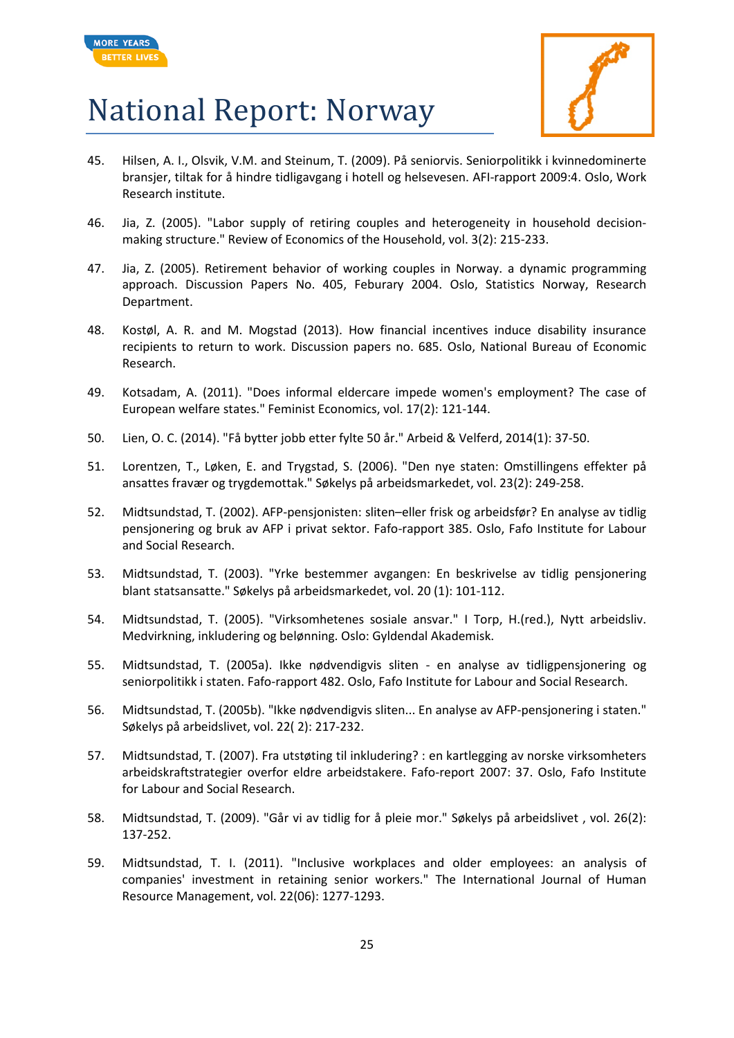



- 45. Hilsen, A. I., Olsvik, V.M. and Steinum, T. (2009). På seniorvis. Seniorpolitikk i kvinnedominerte bransjer, tiltak for å hindre tidligavgang i hotell og helsevesen. AFI-rapport 2009:4. Oslo, Work Research institute.
- 46. Jia, Z. (2005). "Labor supply of retiring couples and heterogeneity in household decisionmaking structure." Review of Economics of the Household, vol. 3(2): 215-233.
- 47. Jia, Z. (2005). Retirement behavior of working couples in Norway. a dynamic programming approach. Discussion Papers No. 405, Feburary 2004. Oslo, Statistics Norway, Research Department.
- 48. Kostøl, A. R. and M. Mogstad (2013). How financial incentives induce disability insurance recipients to return to work. Discussion papers no. 685. Oslo, National Bureau of Economic Research.
- 49. Kotsadam, A. (2011). "Does informal eldercare impede women's employment? The case of European welfare states." Feminist Economics, vol. 17(2): 121-144.
- 50. Lien, O. C. (2014). "Få bytter jobb etter fylte 50 år." Arbeid & Velferd, 2014(1): 37-50.
- 51. Lorentzen, T., Løken, E. and Trygstad, S. (2006). "Den nye staten: Omstillingens effekter på ansattes fravær og trygdemottak." Søkelys på arbeidsmarkedet, vol. 23(2): 249-258.
- 52. Midtsundstad, T. (2002). AFP-pensjonisten: sliten–eller frisk og arbeidsfør? En analyse av tidlig pensjonering og bruk av AFP i privat sektor. Fafo-rapport 385. Oslo, Fafo Institute for Labour and Social Research.
- 53. Midtsundstad, T. (2003). "Yrke bestemmer avgangen: En beskrivelse av tidlig pensjonering blant statsansatte." Søkelys på arbeidsmarkedet, vol. 20 (1): 101-112.
- 54. Midtsundstad, T. (2005). "Virksomhetenes sosiale ansvar." I Torp, H.(red.), Nytt arbeidsliv. Medvirkning, inkludering og belønning. Oslo: Gyldendal Akademisk.
- 55. Midtsundstad, T. (2005a). Ikke nødvendigvis sliten en analyse av tidligpensjonering og seniorpolitikk i staten. Fafo-rapport 482. Oslo, Fafo Institute for Labour and Social Research.
- 56. Midtsundstad, T. (2005b). "Ikke nødvendigvis sliten... En analyse av AFP-pensjonering i staten." Søkelys på arbeidslivet, vol. 22( 2): 217-232.
- 57. Midtsundstad, T. (2007). Fra utstøting til inkludering? : en kartlegging av norske virksomheters arbeidskraftstrategier overfor eldre arbeidstakere. Fafo-report 2007: 37. Oslo, Fafo Institute for Labour and Social Research.
- 58. Midtsundstad, T. (2009). "Går vi av tidlig for å pleie mor." Søkelys på arbeidslivet , vol. 26(2): 137-252.
- 59. Midtsundstad, T. I. (2011). "Inclusive workplaces and older employees: an analysis of companies' investment in retaining senior workers." The International Journal of Human Resource Management, vol. 22(06): 1277-1293.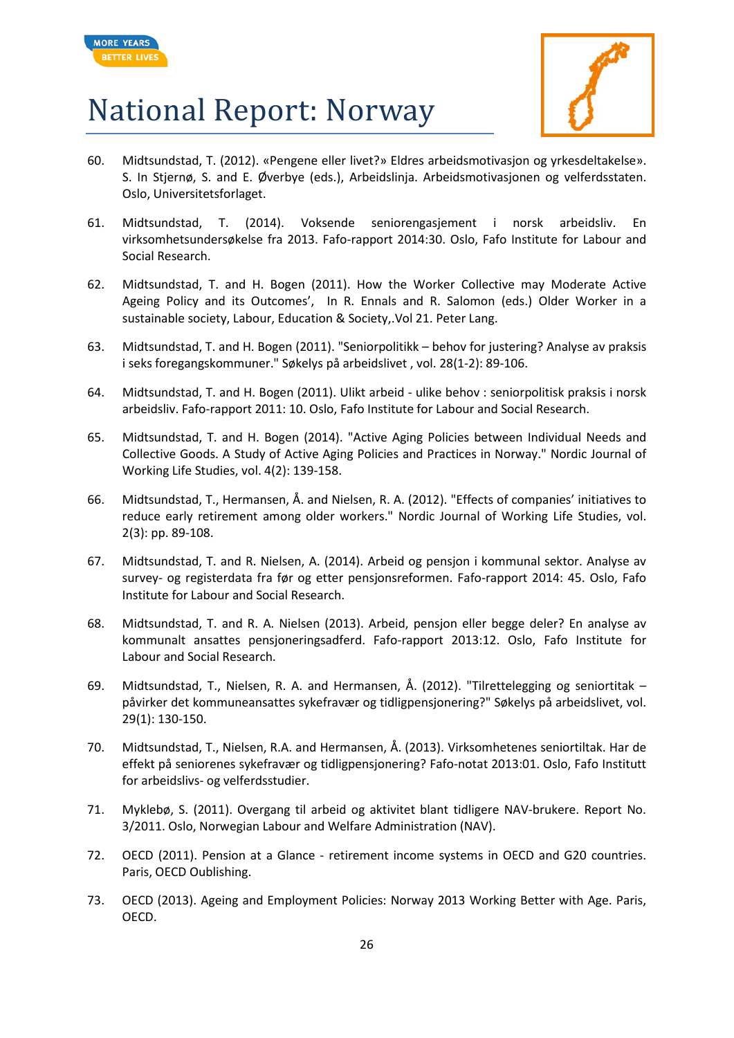



- 60. Midtsundstad, T. (2012). «Pengene eller livet?» Eldres arbeidsmotivasjon og yrkesdeltakelse». S. In Stjernø, S. and E. Øverbye (eds.), Arbeidslinja. Arbeidsmotivasjonen og velferdsstaten. Oslo, Universitetsforlaget.
- 61. Midtsundstad, T. (2014). Voksende seniorengasjement i norsk arbeidsliv. En virksomhetsundersøkelse fra 2013. Fafo-rapport 2014:30. Oslo, Fafo Institute for Labour and Social Research.
- 62. Midtsundstad, T. and H. Bogen (2011). How the Worker Collective may Moderate Active Ageing Policy and its Outcomes', In R. Ennals and R. Salomon (eds.) Older Worker in a sustainable society, Labour, Education & Society,.Vol 21. Peter Lang.
- 63. Midtsundstad, T. and H. Bogen (2011). "Seniorpolitikk behov for justering? Analyse av praksis i seks foregangskommuner." Søkelys på arbeidslivet , vol. 28(1-2): 89-106.
- 64. Midtsundstad, T. and H. Bogen (2011). Ulikt arbeid ulike behov : seniorpolitisk praksis i norsk arbeidsliv. Fafo-rapport 2011: 10. Oslo, Fafo Institute for Labour and Social Research.
- 65. Midtsundstad, T. and H. Bogen (2014). "Active Aging Policies between Individual Needs and Collective Goods. A Study of Active Aging Policies and Practices in Norway." Nordic Journal of Working Life Studies, vol. 4(2): 139-158.
- 66. Midtsundstad, T., Hermansen, Å. and Nielsen, R. A. (2012). "Effects of companies' initiatives to reduce early retirement among older workers." Nordic Journal of Working Life Studies, vol. 2(3): pp. 89-108.
- <span id="page-25-0"></span>67. Midtsundstad, T. and R. Nielsen, A. (2014). [Arbeid og pensjon i kommunal sektor. Analyse av](http://www.fafo.no/pub/rapp/20392/index.html)  survey- [og registerdata fra før og etter pensjonsreformen.](http://www.fafo.no/pub/rapp/20392/index.html) Fafo-rapport 2014: 45. Oslo, Fafo Institute for Labour and Social Research.
- 68. Midtsundstad, T. and R. A. Nielsen (2013). Arbeid, pensjon eller begge deler? En analyse av kommunalt ansattes pensjoneringsadferd. Fafo-rapport 2013:12. Oslo, Fafo Institute for Labour and Social Research.
- 69. Midtsundstad, T., Nielsen, R. A. and Hermansen, Å. (2012). "Tilrettelegging og seniortitak påvirker det kommuneansattes sykefravær og tidligpensjonering?" Søkelys på arbeidslivet, vol. 29(1): 130-150.
- 70. Midtsundstad, T., Nielsen, R.A. and Hermansen, Å. (2013). Virksomhetenes seniortiltak. Har de effekt på seniorenes sykefravær og tidligpensjonering? Fafo-notat 2013:01. Oslo, Fafo Institutt for arbeidslivs- og velferdsstudier.
- 71. Myklebø, S. (2011). Overgang til arbeid og aktivitet blant tidligere NAV-brukere. Report No. 3/2011. Oslo, Norwegian Labour and Welfare Administration (NAV).
- 72. OECD (2011). Pension at a Glance retirement income systems in OECD and G20 countries. Paris, OECD Oublishing.
- 73. OECD (2013). Ageing and Employment Policies: Norway 2013 Working Better with Age. Paris, OECD.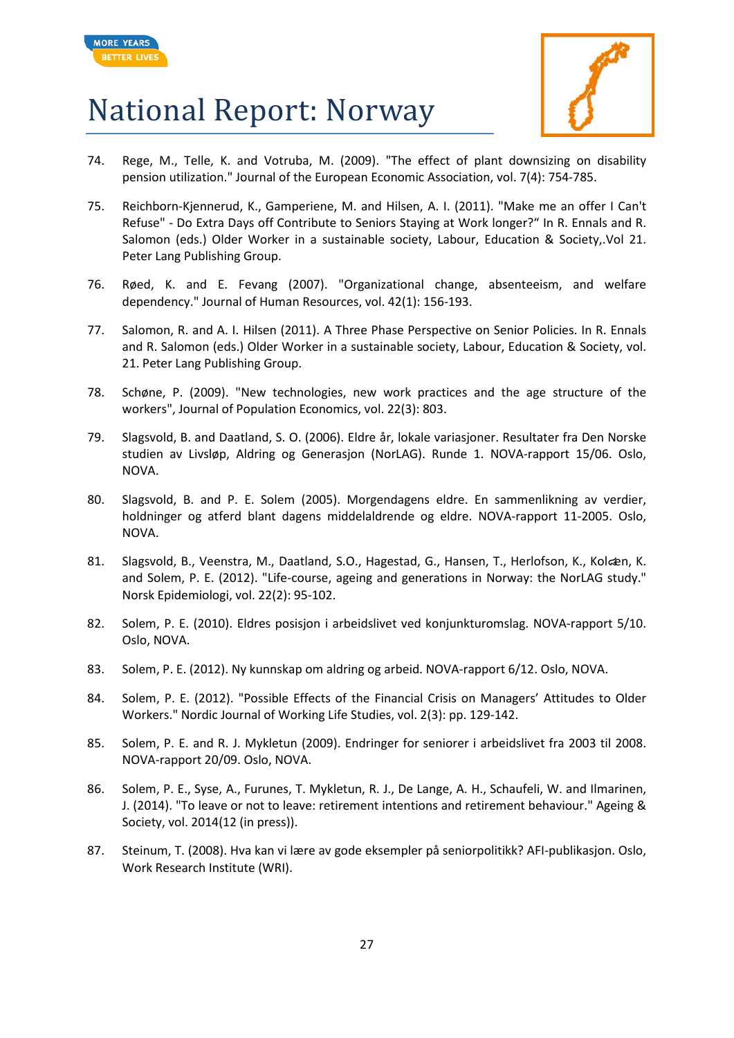



- 74. Rege, M., Telle, K. and Votruba, M. (2009). "The effect of plant downsizing on disability pension utilization." Journal of the European Economic Association, vol. 7(4): 754-785.
- 75. Reichborn-Kjennerud, K., Gamperiene, M. and Hilsen, A. I. (2011). "Make me an offer I Can't Refuse" - Do Extra Days off Contribute to Seniors Staying at Work longer?" In R. Ennals and R. Salomon (eds.) Older Worker in a sustainable society, Labour, Education & Society,.Vol 21. Peter Lang Publishing Group.
- 76. Røed, K. and E. Fevang (2007). "Organizational change, absenteeism, and welfare dependency." Journal of Human Resources, vol. 42(1): 156-193.
- 77. Salomon, R. and A. I. Hilsen (2011). A Three Phase Perspective on Senior Policies. In R. Ennals and R. Salomon (eds.) Older Worker in a sustainable society, Labour, Education & Society, vol. 21. Peter Lang Publishing Group.
- 78. Schøne, P. (2009). "New technologies, new work practices and the age structure of the workers", Journal of Population Economics, vol. 22(3): 803.
- 79. Slagsvold, B. and Daatland, S. O. (2006). Eldre år, lokale variasjoner. Resultater fra Den Norske studien av Livsløp, Aldring og Generasjon (NorLAG). Runde 1. NOVA-rapport 15/06. Oslo, NOVA.
- 80. Slagsvold, B. and P. E. Solem (2005). Morgendagens eldre. En sammenlikning av verdier, holdninger og atferd blant dagens middelaldrende og eldre. NOVA-rapport 11-2005. Oslo, NOVA.
- 81. Slagsvold, B., Veenstra, M., Daatland, S.O., Hagestad, G., Hansen, T., Herlofson, K., Kolcen, K. and Solem, P. E. (2012). "Life-course, ageing and generations in Norway: the NorLAG study." Norsk Epidemiologi, vol. 22(2): 95-102.
- 82. Solem, P. E. (2010). Eldres posisjon i arbeidslivet ved konjunkturomslag. NOVA-rapport 5/10. Oslo, NOVA.
- 83. Solem, P. E. (2012). Ny kunnskap om aldring og arbeid. NOVA-rapport 6/12. Oslo, NOVA.
- 84. Solem, P. E. (2012). "Possible Effects of the Financial Crisis on Managers' Attitudes to Older Workers." Nordic Journal of Working Life Studies, vol. 2(3): pp. 129-142.
- 85. Solem, P. E. and R. J. Mykletun (2009). Endringer for seniorer i arbeidslivet fra 2003 til 2008. NOVA-rapport 20/09. Oslo, NOVA.
- 86. Solem, P. E., Syse, A., Furunes, T. Mykletun, R. J., De Lange, A. H., Schaufeli, W. and Ilmarinen, J. (2014). "To leave or not to leave: retirement intentions and retirement behaviour." Ageing & Society, vol. 2014(12 (in press)).
- 87. Steinum, T. (2008). Hva kan vi lære av gode eksempler på seniorpolitikk? AFI-publikasjon. Oslo, Work Research Institute (WRI).